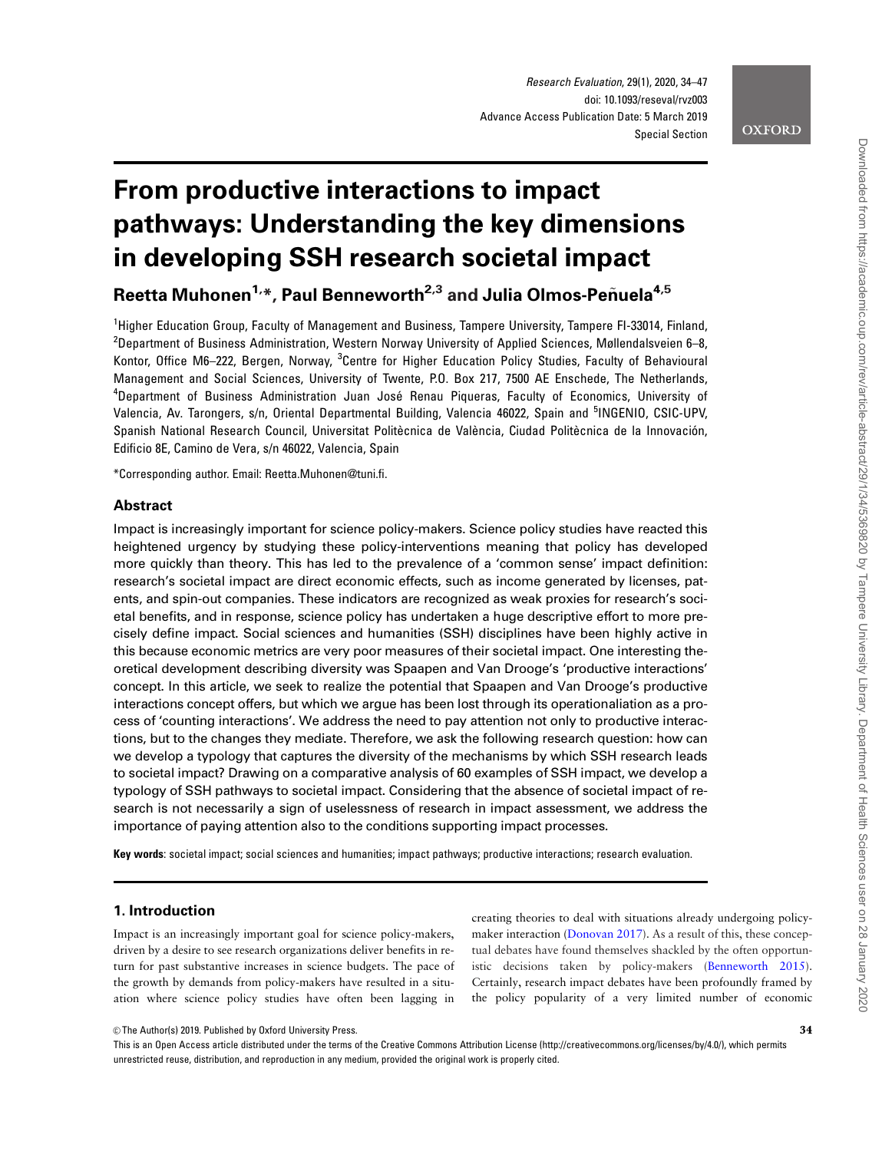# **OXFORD**

# From productive interactions to impact pathways: Understanding the key dimensions in developing SSH research societal impact

Reetta Muhonen<sup>1,</sup>\*, Paul Benneworth<sup>2,3</sup> and Julia Olmos-Peñuela<sup>4,5</sup>

<sup>1</sup>Higher Education Group, Faculty of Management and Business, Tampere University, Tampere FI-33014, Finland, 2 Department of Business Administration, Western Norway University of Applied Sciences, Møllendalsveien 6–8, Kontor, Office M6-222, Bergen, Norway, <sup>3</sup>Centre for Higher Education Policy Studies, Faculty of Behavioural Management and Social Sciences, University of Twente, P.O. Box 217, 7500 AE Enschede, The Netherlands, <sup>4</sup>Department of Business Administration Juan José Renau Piqueras, Faculty of Economics, University of Valencia, Av. Tarongers, s/n, Oriental Departmental Building, Valencia 46022, Spain and <sup>5</sup>INGENIO, CSIC-UPV, Spanish National Research Council, Universitat Politècnica de València, Ciudad Politècnica de la Innovación, Edificio 8E, Camino de Vera, s/n 46022, Valencia, Spain

\*Corresponding author. Email: Reetta.Muhonen@tuni.fi.

# Abstract

Impact is increasingly important for science policy-makers. Science policy studies have reacted this heightened urgency by studying these policy-interventions meaning that policy has developed more quickly than theory. This has led to the prevalence of a 'common sense' impact definition: research's societal impact are direct economic effects, such as income generated by licenses, patents, and spin-out companies. These indicators are recognized as weak proxies for research's societal benefits, and in response, science policy has undertaken a huge descriptive effort to more precisely define impact. Social sciences and humanities (SSH) disciplines have been highly active in this because economic metrics are very poor measures of their societal impact. One interesting theoretical development describing diversity was Spaapen and Van Drooge's 'productive interactions' concept. In this article, we seek to realize the potential that Spaapen and Van Drooge's productive interactions concept offers, but which we argue has been lost through its operationaliation as a process of 'counting interactions'. We address the need to pay attention not only to productive interactions, but to the changes they mediate. Therefore, we ask the following research question: how can we develop a typology that captures the diversity of the mechanisms by which SSH research leads to societal impact? Drawing on a comparative analysis of 60 examples of SSH impact, we develop a typology of SSH pathways to societal impact. Considering that the absence of societal impact of research is not necessarily a sign of uselessness of research in impact assessment, we address the importance of paying attention also to the conditions supporting impact processes.

Key words: societal impact; social sciences and humanities; impact pathways; productive interactions; research evaluation.

# 1. Introduction

Impact is an increasingly important goal for science policy-makers, driven by a desire to see research organizations deliver benefits in return for past substantive increases in science budgets. The pace of the growth by demands from policy-makers have resulted in a situation where science policy studies have often been lagging in

creating theories to deal with situations already undergoing policymaker interaction ([Donovan 2017](#page-12-0)). As a result of this, these conceptual debates have found themselves shackled by the often opportunistic decisions taken by policy-makers [\(Benneworth 2015](#page-11-0)). Certainly, research impact debates have been profoundly framed by the policy popularity of a very limited number of economic

This is an Open Access article distributed under the terms of the Creative Commons Attribution License (http://creativecommons.org/licenses/by/4.0/), which permits unrestricted reuse, distribution, and reproduction in any medium, provided the original work is properly cited.

 $\circledcirc$  The Author(s) 2019. Published by Oxford University Press.  $34$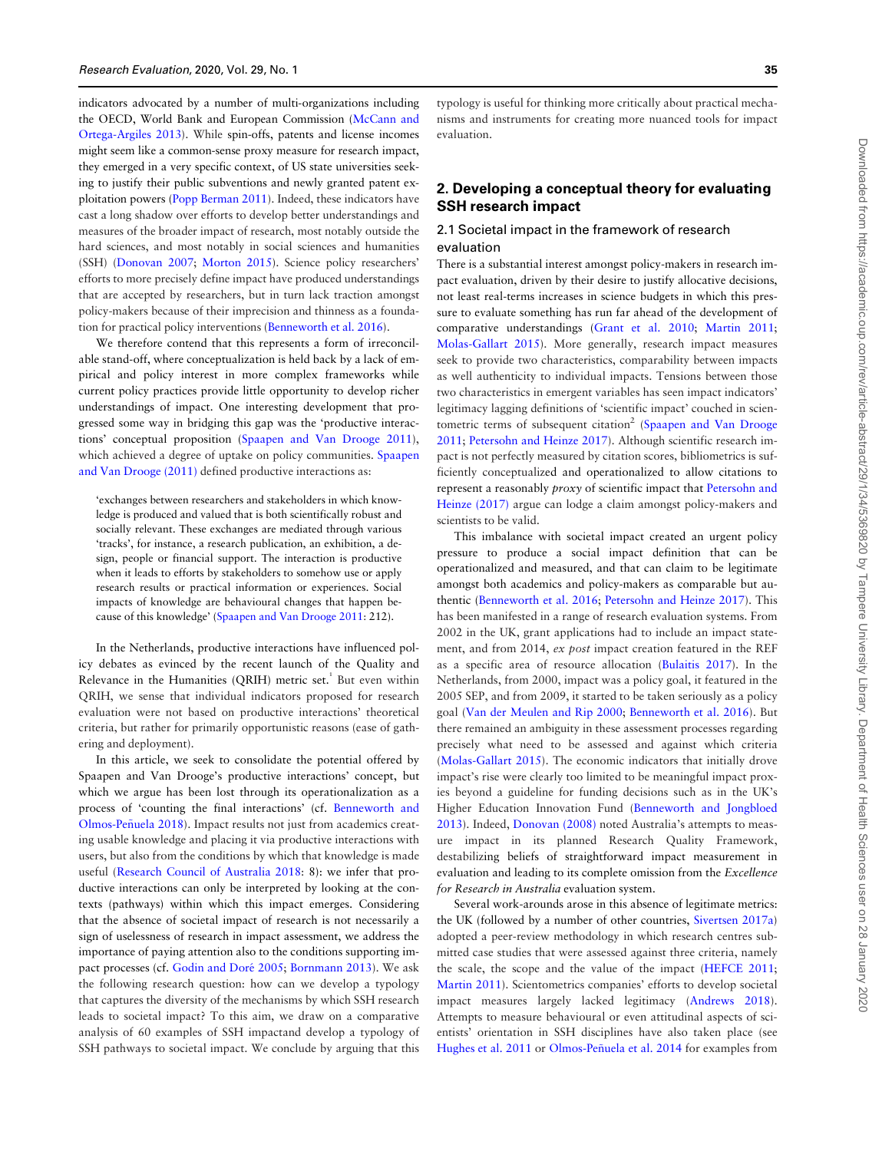indicators advocated by a number of multi-organizations including the OECD, World Bank and European Commission [\(McCann and](#page-12-0) [Ortega-Argiles 2013\)](#page-12-0). While spin-offs, patents and license incomes might seem like a common-sense proxy measure for research impact, they emerged in a very specific context, of US state universities seeking to justify their public subventions and newly granted patent exploitation powers [\(Popp Berman 2011\)](#page-12-0). Indeed, these indicators have cast a long shadow over efforts to develop better understandings and measures of the broader impact of research, most notably outside the hard sciences, and most notably in social sciences and humanities (SSH) [\(Donovan 2007;](#page-11-0) [Morton 2015\)](#page-12-0). Science policy researchers' efforts to more precisely define impact have produced understandings that are accepted by researchers, but in turn lack traction amongst policy-makers because of their imprecision and thinness as a foundation for practical policy interventions [\(Benneworth et al. 2016\)](#page-11-0).

We therefore contend that this represents a form of irreconcilable stand-off, where conceptualization is held back by a lack of empirical and policy interest in more complex frameworks while current policy practices provide little opportunity to develop richer understandings of impact. One interesting development that progressed some way in bridging this gap was the 'productive interactions' conceptual proposition [\(Spaapen and Van Drooge 2011](#page-12-0)), which achieved a degree of uptake on policy communities. [Spaapen](#page-12-0) [and Van Drooge \(2011\)](#page-12-0) defined productive interactions as:

'exchanges between researchers and stakeholders in which knowledge is produced and valued that is both scientifically robust and socially relevant. These exchanges are mediated through various 'tracks', for instance, a research publication, an exhibition, a design, people or financial support. The interaction is productive when it leads to efforts by stakeholders to somehow use or apply research results or practical information or experiences. Social impacts of knowledge are behavioural changes that happen because of this knowledge' ([Spaapen and Van Drooge 2011:](#page-12-0) 212).

In the Netherlands, productive interactions have influenced policy debates as evinced by the recent launch of the Quality and Relevance in the Humanities (QRIH) metric set.<sup>1</sup> But even within QRIH, we sense that individual indicators proposed for research evaluation were not based on productive interactions' theoretical criteria, but rather for primarily opportunistic reasons (ease of gathering and deployment).

In this article, we seek to consolidate the potential offered by Spaapen and Van Drooge's productive interactions' concept, but which we argue has been lost through its operationalization as a process of 'counting the final interactions' (cf. [Benneworth and](#page-11-0) Olmos-Peñuela 2018). Impact results not just from academics creating usable knowledge and placing it via productive interactions with users, but also from the conditions by which that knowledge is made useful [\(Research Council of Australia 2018:](#page-12-0) 8): we infer that productive interactions can only be interpreted by looking at the contexts (pathways) within which this impact emerges. Considering that the absence of societal impact of research is not necessarily a sign of uselessness of research in impact assessment, we address the importance of paying attention also to the conditions supporting im-pact processes (cf. Godin and Doré 2005; [Bornmann 2013](#page-11-0)). We ask the following research question: how can we develop a typology that captures the diversity of the mechanisms by which SSH research leads to societal impact? To this aim, we draw on a comparative analysis of 60 examples of SSH impactand develop a typology of SSH pathways to societal impact. We conclude by arguing that this

typology is useful for thinking more critically about practical mechanisms and instruments for creating more nuanced tools for impact evaluation.

# 2. Developing a conceptual theory for evaluating SSH research impact

# 2.1 Societal impact in the framework of research evaluation

There is a substantial interest amongst policy-makers in research impact evaluation, driven by their desire to justify allocative decisions, not least real-terms increases in science budgets in which this pressure to evaluate something has run far ahead of the development of comparative understandings [\(Grant et al. 2010;](#page-12-0) [Martin 2011;](#page-12-0) [Molas-Gallart 2015\)](#page-12-0). More generally, research impact measures seek to provide two characteristics, comparability between impacts as well authenticity to individual impacts. Tensions between those two characteristics in emergent variables has seen impact indicators' legitimacy lagging definitions of 'scientific impact' couched in scien-tometric terms of subsequent citation<sup>2</sup> [\(Spaapen and Van Drooge](#page-12-0) [2011;](#page-12-0) [Petersohn and Heinze 2017](#page-12-0)). Although scientific research impact is not perfectly measured by citation scores, bibliometrics is sufficiently conceptualized and operationalized to allow citations to represent a reasonably proxy of scientific impact that [Petersohn and](#page-12-0) [Heinze \(2017\)](#page-12-0) argue can lodge a claim amongst policy-makers and scientists to be valid.

This imbalance with societal impact created an urgent policy pressure to produce a social impact definition that can be operationalized and measured, and that can claim to be legitimate amongst both academics and policy-makers as comparable but authentic ([Benneworth et al. 2016;](#page-11-0) [Petersohn and Heinze 2017](#page-12-0)). This has been manifested in a range of research evaluation systems. From 2002 in the UK, grant applications had to include an impact statement, and from 2014, ex post impact creation featured in the REF as a specific area of resource allocation ([Bulaitis 2017\)](#page-11-0). In the Netherlands, from 2000, impact was a policy goal, it featured in the 2005 SEP, and from 2009, it started to be taken seriously as a policy goal ([Van der Meulen and Rip 2000;](#page-12-0) [Benneworth et al. 2016](#page-11-0)). But there remained an ambiguity in these assessment processes regarding precisely what need to be assessed and against which criteria ([Molas-Gallart 2015\)](#page-12-0). The economic indicators that initially drove impact's rise were clearly too limited to be meaningful impact proxies beyond a guideline for funding decisions such as in the UK's Higher Education Innovation Fund [\(Benneworth and Jongbloed](#page-11-0) [2013\)](#page-11-0). Indeed, [Donovan \(2008\)](#page-12-0) noted Australia's attempts to measure impact in its planned Research Quality Framework, destabilizing beliefs of straightforward impact measurement in evaluation and leading to its complete omission from the Excellence for Research in Australia evaluation system.

Several work-arounds arose in this absence of legitimate metrics: the UK (followed by a number of other countries, [Sivertsen 2017a](#page-12-0)) adopted a peer-review methodology in which research centres submitted case studies that were assessed against three criteria, namely the scale, the scope and the value of the impact ([HEFCE 2011;](#page-12-0) [Martin 2011](#page-12-0)). Scientometrics companies' efforts to develop societal impact measures largely lacked legitimacy ([Andrews 2018](#page-11-0)). Attempts to measure behavioural or even attitudinal aspects of scientists' orientation in SSH disciplines have also taken place (see [Hughes et al. 2011](#page-12-0) or Olmos-Peñuela et al. 2014 for examples from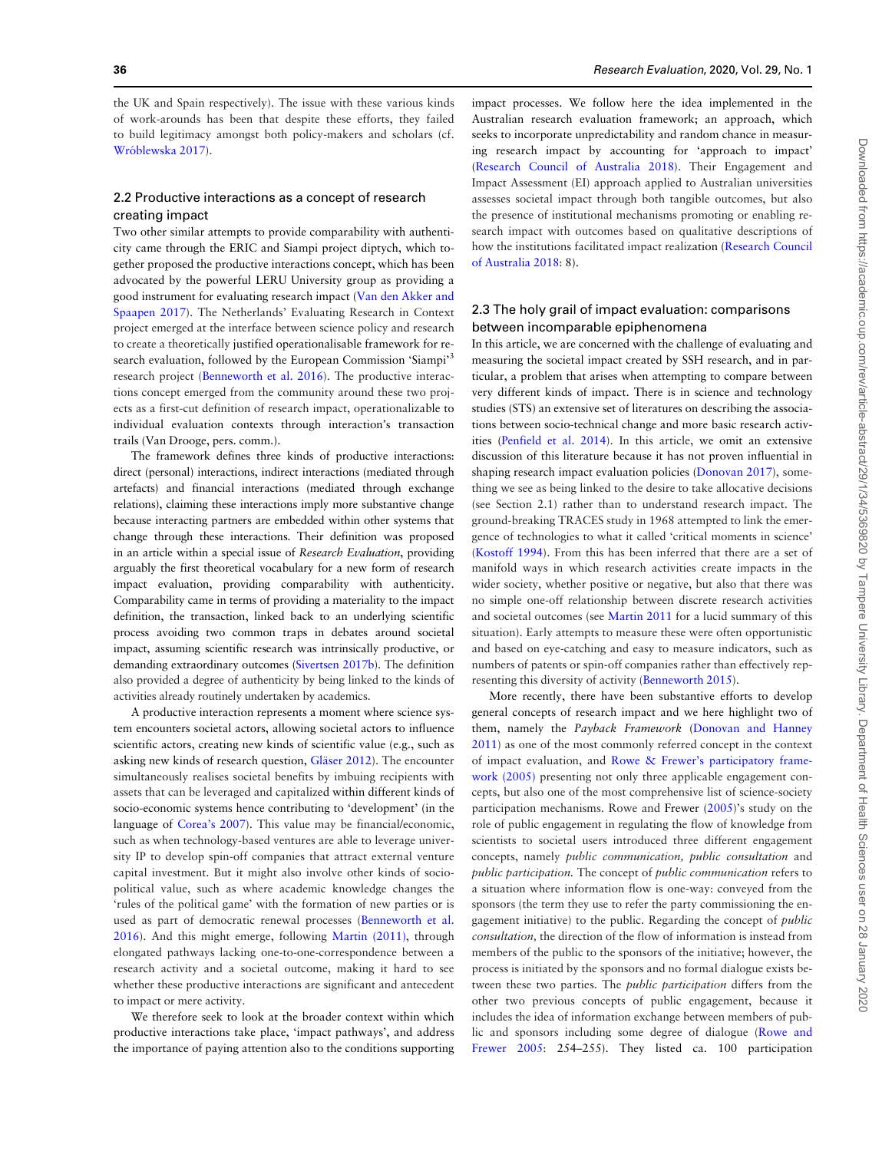the UK and Spain respectively). The issue with these various kinds of work-arounds has been that despite these efforts, they failed to build legitimacy amongst both policy-makers and scholars (cf. Wróblewska 2017).

# 2.2 Productive interactions as a concept of research creating impact

Two other similar attempts to provide comparability with authenticity came through the ERIC and Siampi project diptych, which together proposed the productive interactions concept, which has been advocated by the powerful LERU University group as providing a good instrument for evaluating research impact [\(Van den Akker and](#page-12-0) [Spaapen 2017\)](#page-12-0). The Netherlands' Evaluating Research in Context project emerged at the interface between science policy and research to create a theoretically justified operationalisable framework for research evaluation, followed by the European Commission 'Siampi'<sup>3</sup> research project ([Benneworth et al. 2016\)](#page-11-0). The productive interactions concept emerged from the community around these two projects as a first-cut definition of research impact, operationalizable to individual evaluation contexts through interaction's transaction trails (Van Drooge, pers. comm.).

The framework defines three kinds of productive interactions: direct (personal) interactions, indirect interactions (mediated through artefacts) and financial interactions (mediated through exchange relations), claiming these interactions imply more substantive change because interacting partners are embedded within other systems that change through these interactions. Their definition was proposed in an article within a special issue of Research Evaluation, providing arguably the first theoretical vocabulary for a new form of research impact evaluation, providing comparability with authenticity. Comparability came in terms of providing a materiality to the impact definition, the transaction, linked back to an underlying scientific process avoiding two common traps in debates around societal impact, assuming scientific research was intrinsically productive, or demanding extraordinary outcomes [\(Sivertsen 2017b\)](#page-12-0). The definition also provided a degree of authenticity by being linked to the kinds of activities already routinely undertaken by academics.

A productive interaction represents a moment where science system encounters societal actors, allowing societal actors to influence scientific actors, creating new kinds of scientific value (e.g., such as asking new kinds of research question, Gläser 2012). The encounter simultaneously realises societal benefits by imbuing recipients with assets that can be leveraged and capitalized within different kinds of socio-economic systems hence contributing to 'development' (in the language of [Corea's 2007\)](#page-11-0). This value may be financial/economic, such as when technology-based ventures are able to leverage university IP to develop spin-off companies that attract external venture capital investment. But it might also involve other kinds of sociopolitical value, such as where academic knowledge changes the 'rules of the political game' with the formation of new parties or is used as part of democratic renewal processes [\(Benneworth et al.](#page-11-0) [2016\)](#page-11-0). And this might emerge, following [Martin \(2011\),](#page-12-0) through elongated pathways lacking one-to-one-correspondence between a research activity and a societal outcome, making it hard to see whether these productive interactions are significant and antecedent to impact or mere activity.

We therefore seek to look at the broader context within which productive interactions take place, 'impact pathways', and address the importance of paying attention also to the conditions supporting

impact processes. We follow here the idea implemented in the Australian research evaluation framework; an approach, which seeks to incorporate unpredictability and random chance in measuring research impact by accounting for 'approach to impact' ([Research Council of Australia 2018\)](#page-12-0). Their Engagement and Impact Assessment (EI) approach applied to Australian universities assesses societal impact through both tangible outcomes, but also the presence of institutional mechanisms promoting or enabling research impact with outcomes based on qualitative descriptions of how the institutions facilitated impact realization ([Research Council](#page-12-0) [of Australia 2018](#page-12-0): 8).

# 2.3 The holy grail of impact evaluation: comparisons between incomparable epiphenomena

In this article, we are concerned with the challenge of evaluating and measuring the societal impact created by SSH research, and in particular, a problem that arises when attempting to compare between very different kinds of impact. There is in science and technology studies (STS) an extensive set of literatures on describing the associations between socio-technical change and more basic research activities [\(Penfield et al. 2014](#page-12-0)). In this article, we omit an extensive discussion of this literature because it has not proven influential in shaping research impact evaluation policies ([Donovan 2017](#page-12-0)), something we see as being linked to the desire to take allocative decisions (see Section 2.1) rather than to understand research impact. The ground-breaking TRACES study in 1968 attempted to link the emergence of technologies to what it called 'critical moments in science' ([Kostoff 1994\)](#page-12-0). From this has been inferred that there are a set of manifold ways in which research activities create impacts in the wider society, whether positive or negative, but also that there was no simple one-off relationship between discrete research activities and societal outcomes (see [Martin 2011](#page-12-0) for a lucid summary of this situation). Early attempts to measure these were often opportunistic and based on eye-catching and easy to measure indicators, such as numbers of patents or spin-off companies rather than effectively representing this diversity of activity ([Benneworth 2015\)](#page-11-0).

More recently, there have been substantive efforts to develop general concepts of research impact and we here highlight two of them, namely the Payback Framework [\(Donovan and Hanney](#page-12-0) [2011\)](#page-12-0) as one of the most commonly referred concept in the context of impact evaluation, and [Rowe](#page-12-0) & [Frewer's participatory frame](#page-12-0)[work \(2005\)](#page-12-0) presenting not only three applicable engagement concepts, but also one of the most comprehensive list of science-society participation mechanisms. Rowe and Frewer ([2005](#page-12-0))'s study on the role of public engagement in regulating the flow of knowledge from scientists to societal users introduced three different engagement concepts, namely public communication, public consultation and public participation. The concept of public communication refers to a situation where information flow is one-way: conveyed from the sponsors (the term they use to refer the party commissioning the engagement initiative) to the public. Regarding the concept of public consultation, the direction of the flow of information is instead from members of the public to the sponsors of the initiative; however, the process is initiated by the sponsors and no formal dialogue exists between these two parties. The public participation differs from the other two previous concepts of public engagement, because it includes the idea of information exchange between members of public and sponsors including some degree of dialogue ([Rowe and](#page-12-0) [Frewer 2005:](#page-12-0) 254–255). They listed ca. 100 participation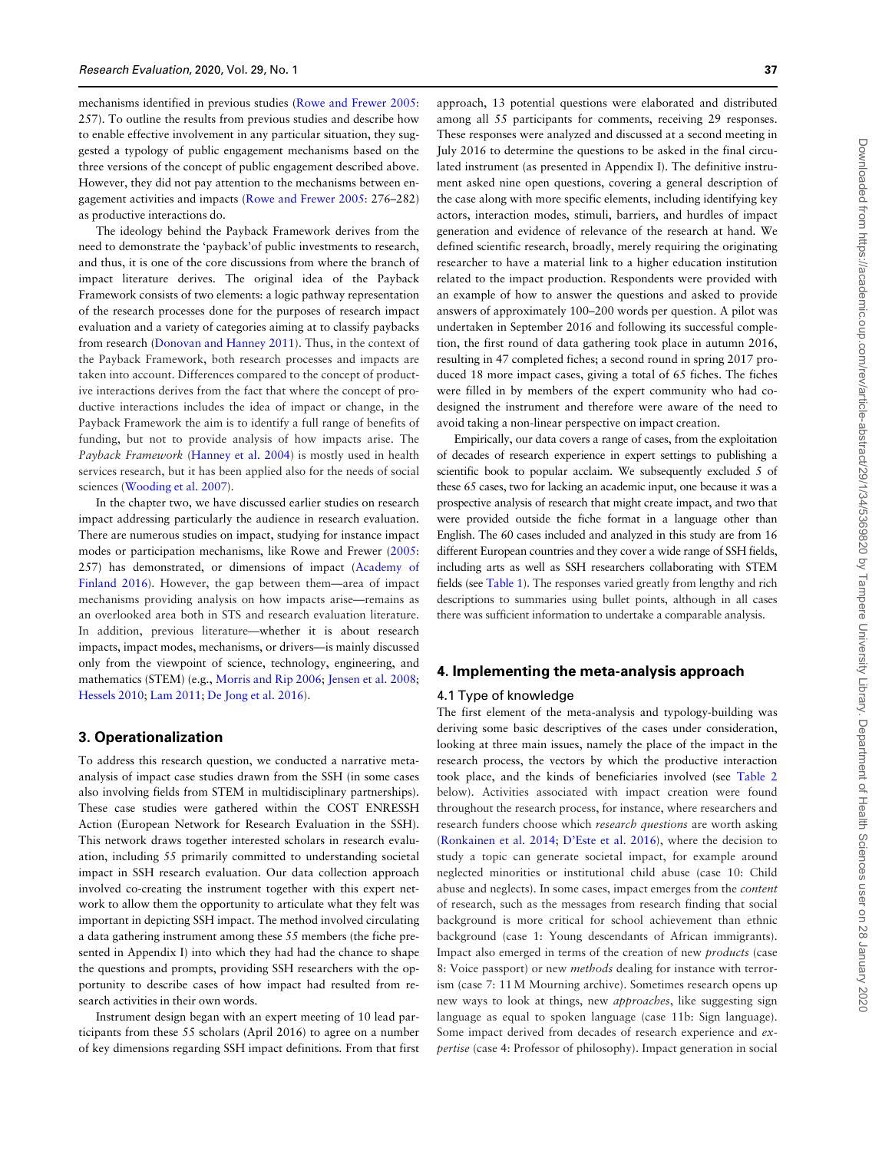mechanisms identified in previous studies [\(Rowe and Frewer 2005:](#page-12-0) 257). To outline the results from previous studies and describe how to enable effective involvement in any particular situation, they suggested a typology of public engagement mechanisms based on the three versions of the concept of public engagement described above. However, they did not pay attention to the mechanisms between engagement activities and impacts ([Rowe and Frewer 2005](#page-12-0): 276–282) as productive interactions do.

The ideology behind the Payback Framework derives from the need to demonstrate the 'payback'of public investments to research, and thus, it is one of the core discussions from where the branch of impact literature derives. The original idea of the Payback Framework consists of two elements: a logic pathway representation of the research processes done for the purposes of research impact evaluation and a variety of categories aiming at to classify paybacks from research [\(Donovan and Hanney 2011](#page-12-0)). Thus, in the context of the Payback Framework, both research processes and impacts are taken into account. Differences compared to the concept of productive interactions derives from the fact that where the concept of productive interactions includes the idea of impact or change, in the Payback Framework the aim is to identify a full range of benefits of funding, but not to provide analysis of how impacts arise. The Payback Framework [\(Hanney et al. 2004](#page-12-0)) is mostly used in health services research, but it has been applied also for the needs of social sciences ([Wooding et al. 2007\)](#page-12-0).

In the chapter two, we have discussed earlier studies on research impact addressing particularly the audience in research evaluation. There are numerous studies on impact, studying for instance impact modes or participation mechanisms, like Rowe and Frewer [\(2005:](#page-12-0) 257) has demonstrated, or dimensions of impact [\(Academy of](#page-11-0) [Finland 2016](#page-11-0)). However, the gap between them—area of impact mechanisms providing analysis on how impacts arise—remains as an overlooked area both in STS and research evaluation literature. In addition, previous literature—whether it is about research impacts, impact modes, mechanisms, or drivers—is mainly discussed only from the viewpoint of science, technology, engineering, and mathematics (STEM) (e.g., [Morris and Rip 2006;](#page-12-0) [Jensen et al. 2008;](#page-12-0) [Hessels 2010;](#page-12-0) [Lam 2011](#page-12-0); [De Jong et al. 2016](#page-11-0)).

# 3. Operationalization

To address this research question, we conducted a narrative metaanalysis of impact case studies drawn from the SSH (in some cases also involving fields from STEM in multidisciplinary partnerships). These case studies were gathered within the COST ENRESSH Action (European Network for Research Evaluation in the SSH). This network draws together interested scholars in research evaluation, including 55 primarily committed to understanding societal impact in SSH research evaluation. Our data collection approach involved co-creating the instrument together with this expert network to allow them the opportunity to articulate what they felt was important in depicting SSH impact. The method involved circulating a data gathering instrument among these 55 members (the fiche presented in Appendix I) into which they had had the chance to shape the questions and prompts, providing SSH researchers with the opportunity to describe cases of how impact had resulted from research activities in their own words.

Instrument design began with an expert meeting of 10 lead participants from these 55 scholars (April 2016) to agree on a number of key dimensions regarding SSH impact definitions. From that first

approach, 13 potential questions were elaborated and distributed among all 55 participants for comments, receiving 29 responses. These responses were analyzed and discussed at a second meeting in July 2016 to determine the questions to be asked in the final circulated instrument (as presented in Appendix I). The definitive instrument asked nine open questions, covering a general description of the case along with more specific elements, including identifying key actors, interaction modes, stimuli, barriers, and hurdles of impact generation and evidence of relevance of the research at hand. We defined scientific research, broadly, merely requiring the originating researcher to have a material link to a higher education institution related to the impact production. Respondents were provided with an example of how to answer the questions and asked to provide answers of approximately 100–200 words per question. A pilot was undertaken in September 2016 and following its successful completion, the first round of data gathering took place in autumn 2016, resulting in 47 completed fiches; a second round in spring 2017 produced 18 more impact cases, giving a total of 65 fiches. The fiches were filled in by members of the expert community who had codesigned the instrument and therefore were aware of the need to avoid taking a non-linear perspective on impact creation.

Empirically, our data covers a range of cases, from the exploitation of decades of research experience in expert settings to publishing a scientific book to popular acclaim. We subsequently excluded 5 of these 65 cases, two for lacking an academic input, one because it was a prospective analysis of research that might create impact, and two that were provided outside the fiche format in a language other than English. The 60 cases included and analyzed in this study are from 16 different European countries and they cover a wide range of SSH fields, including arts as well as SSH researchers collaborating with STEM fields (see [Table 1](#page-4-0)). The responses varied greatly from lengthy and rich descriptions to summaries using bullet points, although in all cases there was sufficient information to undertake a comparable analysis.

### 4. Implementing the meta-analysis approach

### 4.1 Type of knowledge

The first element of the meta-analysis and typology-building was deriving some basic descriptives of the cases under consideration, looking at three main issues, namely the place of the impact in the research process, the vectors by which the productive interaction took place, and the kinds of beneficiaries involved (see [Table 2](#page-4-0) below). Activities associated with impact creation were found throughout the research process, for instance, where researchers and research funders choose which research questions are worth asking ([Ronkainen et al. 2014](#page-12-0); [D'Este et al. 2016\)](#page-11-0), where the decision to study a topic can generate societal impact, for example around neglected minorities or institutional child abuse (case 10: Child abuse and neglects). In some cases, impact emerges from the content of research, such as the messages from research finding that social background is more critical for school achievement than ethnic background (case 1: Young descendants of African immigrants). Impact also emerged in terms of the creation of new products (case 8: Voice passport) or new methods dealing for instance with terrorism (case 7: 11 M Mourning archive). Sometimes research opens up new ways to look at things, new approaches, like suggesting sign language as equal to spoken language (case 11b: Sign language). Some impact derived from decades of research experience and expertise (case 4: Professor of philosophy). Impact generation in social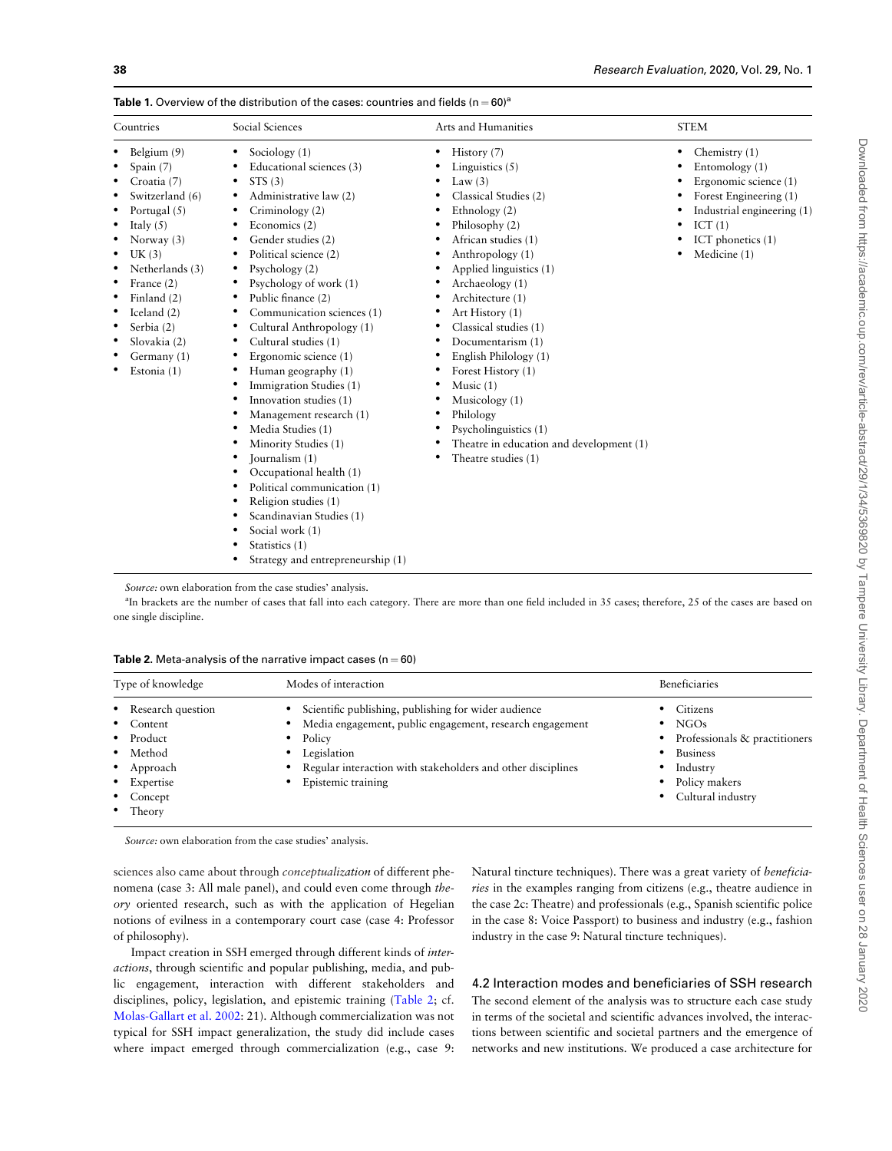| Countries                                                                                                                                                                                                                                                                                                | Social Sciences                                                                                                                                                                                                                                                                                                                                                                                                                                                                                                                                                                                                                                                                                                                       | Arts and Humanities                                                                                                                                                                                                                                                                                                                                                                                                                                                                                              | <b>STEM</b>                                                                                                                                                                                               |
|----------------------------------------------------------------------------------------------------------------------------------------------------------------------------------------------------------------------------------------------------------------------------------------------------------|---------------------------------------------------------------------------------------------------------------------------------------------------------------------------------------------------------------------------------------------------------------------------------------------------------------------------------------------------------------------------------------------------------------------------------------------------------------------------------------------------------------------------------------------------------------------------------------------------------------------------------------------------------------------------------------------------------------------------------------|------------------------------------------------------------------------------------------------------------------------------------------------------------------------------------------------------------------------------------------------------------------------------------------------------------------------------------------------------------------------------------------------------------------------------------------------------------------------------------------------------------------|-----------------------------------------------------------------------------------------------------------------------------------------------------------------------------------------------------------|
| Belgium (9)<br>٠<br>Spain $(7)$<br>Croatia (7)<br>٠<br>Switzerland (6)<br>٠<br>Portugal $(5)$<br>٠<br>Italy $(5)$<br>٠<br>Norway $(3)$<br>UK(3)<br>٠<br>Netherlands (3)<br>France (2)<br>٠<br>Finland (2)<br>٠<br>Iceland (2)<br>Serbia (2)<br>٠<br>Slovakia (2)<br>٠<br>Germany (1)<br>٠<br>Estonia (1) | Sociology (1)<br>Educational sciences (3)<br>STS(3)<br>Administrative law (2)<br>Criminology (2)<br>Economics (2)<br>Gender studies (2)<br>Political science (2)<br>Psychology (2)<br>Psychology of work (1)<br>Public finance (2)<br>Communication sciences (1)<br>Cultural Anthropology (1)<br>٠<br>Cultural studies (1)<br>Ergonomic science (1)<br>٠<br>Human geography (1)<br>Immigration Studies (1)<br>Innovation studies (1)<br>Management research (1)<br>Media Studies (1)<br>٠<br>Minority Studies (1)<br>Journalism (1)<br>Occupational health (1)<br>Political communication (1)<br>Religion studies (1)<br>٠<br>Scandinavian Studies (1)<br>٠<br>Social work (1)<br>Statistics (1)<br>Strategy and entrepreneurship (1) | History (7)<br>Linguistics $(5)$<br>Law $(3)$<br>Classical Studies (2)<br>Ethnology $(2)$<br>٠<br>Philosophy (2)<br>African studies (1)<br>Anthropology (1)<br>Applied linguistics (1)<br>Archaeology (1)<br>٠<br>Architecture (1)<br>Art History (1)<br>Classical studies (1)<br>٠<br>Documentarism (1)<br>English Philology (1)<br>٠<br>Forest History (1)<br>Music $(1)$<br>Musicology (1)<br>Philology<br>Psycholinguistics (1)<br>٠<br>Theatre in education and development (1)<br>٠<br>Theatre studies (1) | Chemistry (1)<br>٠<br>Entomology (1)<br>٠<br>Ergonomic science (1)<br>٠<br>Forest Engineering (1)<br>٠<br>Industrial engineering (1)<br>٠<br>ICT(1)<br>٠<br>ICT phonetics $(1)$<br>٠<br>Medicine (1)<br>٠ |

<span id="page-4-0"></span>**Table 1.** Overview of the distribution of the cases: countries and fields  $(n = 60)^a$ 

Source: own elaboration from the case studies' analysis.

<sup>a</sup>In brackets are the number of cases that fall into each category. There are more than one field included in 35 cases; therefore, 25 of the cases are based on one single discipline.

| <b>Table 2.</b> Meta-analysis of the narrative impact cases ( $n = 60$ ) |  |  |  |  |
|--------------------------------------------------------------------------|--|--|--|--|
|--------------------------------------------------------------------------|--|--|--|--|

| Type of knowledge                             | Modes of interaction                                                                                                            | <b>Beneficiaries</b>                              |
|-----------------------------------------------|---------------------------------------------------------------------------------------------------------------------------------|---------------------------------------------------|
| • Research question<br>• Content<br>• Product | Scientific publishing, publishing for wider audience<br>Media engagement, public engagement, research engagement<br>Policy<br>٠ | Citizens<br>NGOs<br>Professionals & practitioners |
| • Method<br>• Approach                        | Legislation<br>٠<br>Regular interaction with stakeholders and other disciplines                                                 | <b>Business</b><br>Industry                       |
| • Expertise<br>• Concept<br>• Theory          | Epistemic training                                                                                                              | Policy makers<br>Cultural industry                |

Source: own elaboration from the case studies' analysis.

sciences also came about through conceptualization of different phenomena (case 3: All male panel), and could even come through theory oriented research, such as with the application of Hegelian notions of evilness in a contemporary court case (case 4: Professor of philosophy).

Impact creation in SSH emerged through different kinds of interactions, through scientific and popular publishing, media, and public engagement, interaction with different stakeholders and disciplines, policy, legislation, and epistemic training (Table 2; cf. [Molas-Gallart et al. 2002](#page-12-0): 21). Although commercialization was not typical for SSH impact generalization, the study did include cases where impact emerged through commercialization (e.g., case 9: Natural tincture techniques). There was a great variety of beneficiaries in the examples ranging from citizens (e.g., theatre audience in the case 2c: Theatre) and professionals (e.g., Spanish scientific police in the case 8: Voice Passport) to business and industry (e.g., fashion industry in the case 9: Natural tincture techniques).

# 4.2 Interaction modes and beneficiaries of SSH research

The second element of the analysis was to structure each case study in terms of the societal and scientific advances involved, the interactions between scientific and societal partners and the emergence of networks and new institutions. We produced a case architecture for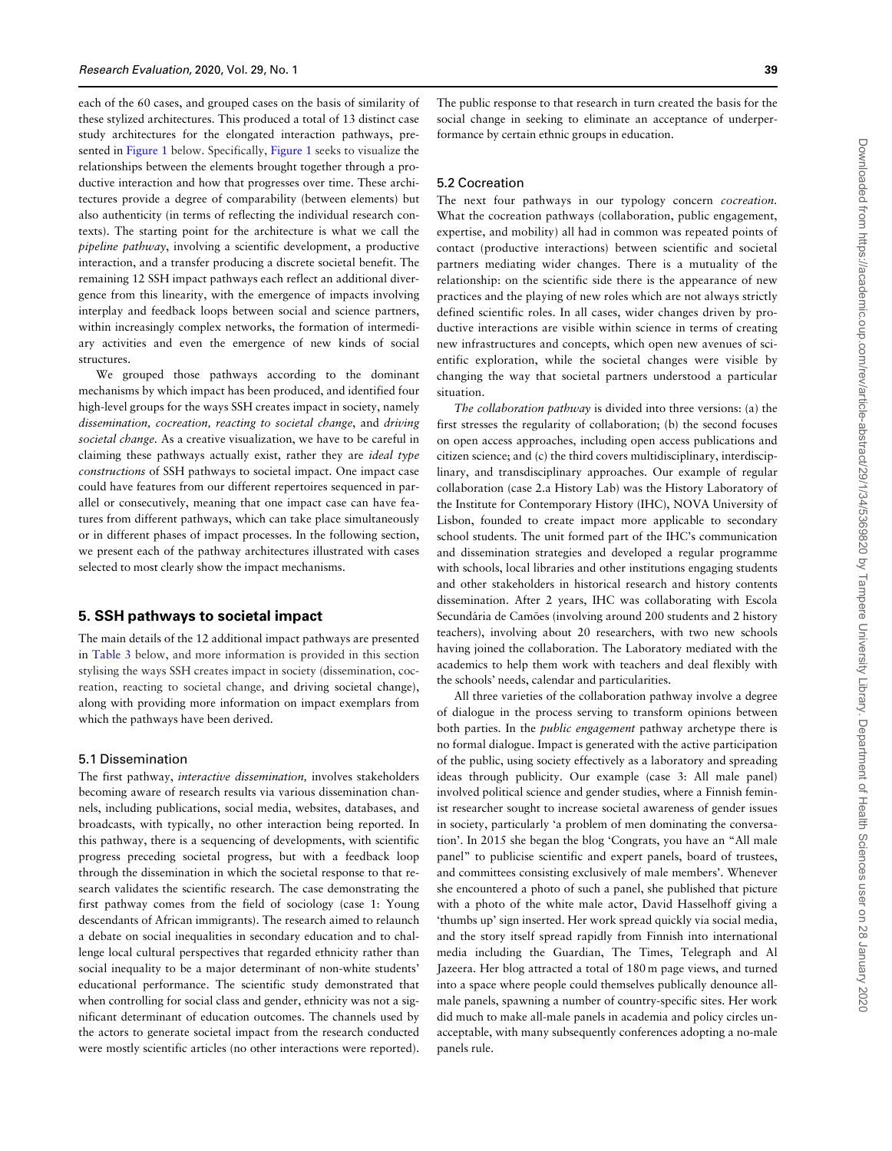each of the 60 cases, and grouped cases on the basis of similarity of these stylized architectures. This produced a total of 13 distinct case study architectures for the elongated interaction pathways, presented in [Figure 1](#page-6-0) below. Specifically, [Figure 1](#page-6-0) seeks to visualize the relationships between the elements brought together through a productive interaction and how that progresses over time. These architectures provide a degree of comparability (between elements) but also authenticity (in terms of reflecting the individual research contexts). The starting point for the architecture is what we call the pipeline pathway, involving a scientific development, a productive interaction, and a transfer producing a discrete societal benefit. The remaining 12 SSH impact pathways each reflect an additional divergence from this linearity, with the emergence of impacts involving interplay and feedback loops between social and science partners, within increasingly complex networks, the formation of intermediary activities and even the emergence of new kinds of social structures.

We grouped those pathways according to the dominant mechanisms by which impact has been produced, and identified four high-level groups for the ways SSH creates impact in society, namely dissemination, cocreation, reacting to societal change, and driving societal change. As a creative visualization, we have to be careful in claiming these pathways actually exist, rather they are ideal type constructions of SSH pathways to societal impact. One impact case could have features from our different repertoires sequenced in parallel or consecutively, meaning that one impact case can have features from different pathways, which can take place simultaneously or in different phases of impact processes. In the following section, we present each of the pathway architectures illustrated with cases selected to most clearly show the impact mechanisms.

#### 5. SSH pathways to societal impact

The main details of the 12 additional impact pathways are presented in [Table 3](#page-8-0) below, and more information is provided in this section stylising the ways SSH creates impact in society (dissemination, cocreation, reacting to societal change, and driving societal change), along with providing more information on impact exemplars from which the pathways have been derived.

#### 5.1 Dissemination

The first pathway, interactive dissemination, involves stakeholders becoming aware of research results via various dissemination channels, including publications, social media, websites, databases, and broadcasts, with typically, no other interaction being reported. In this pathway, there is a sequencing of developments, with scientific progress preceding societal progress, but with a feedback loop through the dissemination in which the societal response to that research validates the scientific research. The case demonstrating the first pathway comes from the field of sociology (case 1: Young descendants of African immigrants). The research aimed to relaunch a debate on social inequalities in secondary education and to challenge local cultural perspectives that regarded ethnicity rather than social inequality to be a major determinant of non-white students' educational performance. The scientific study demonstrated that when controlling for social class and gender, ethnicity was not a significant determinant of education outcomes. The channels used by the actors to generate societal impact from the research conducted were mostly scientific articles (no other interactions were reported). The public response to that research in turn created the basis for the social change in seeking to eliminate an acceptance of underperformance by certain ethnic groups in education.

#### 5.2 Cocreation

The next four pathways in our typology concern *cocreation*. What the cocreation pathways (collaboration, public engagement, expertise, and mobility) all had in common was repeated points of contact (productive interactions) between scientific and societal partners mediating wider changes. There is a mutuality of the relationship: on the scientific side there is the appearance of new practices and the playing of new roles which are not always strictly defined scientific roles. In all cases, wider changes driven by productive interactions are visible within science in terms of creating new infrastructures and concepts, which open new avenues of scientific exploration, while the societal changes were visible by changing the way that societal partners understood a particular situation.

The collaboration pathway is divided into three versions: (a) the first stresses the regularity of collaboration; (b) the second focuses on open access approaches, including open access publications and citizen science; and (c) the third covers multidisciplinary, interdisciplinary, and transdisciplinary approaches. Our example of regular collaboration (case 2.a History Lab) was the History Laboratory of the Institute for Contemporary History (IHC), NOVA University of Lisbon, founded to create impact more applicable to secondary school students. The unit formed part of the IHC's communication and dissemination strategies and developed a regular programme with schools, local libraries and other institutions engaging students and other stakeholders in historical research and history contents dissemination. After 2 years, IHC was collaborating with Escola Secundária de Camões (involving around 200 students and 2 history teachers), involving about 20 researchers, with two new schools having joined the collaboration. The Laboratory mediated with the academics to help them work with teachers and deal flexibly with the schools' needs, calendar and particularities.

All three varieties of the collaboration pathway involve a degree of dialogue in the process serving to transform opinions between both parties. In the public engagement pathway archetype there is no formal dialogue. Impact is generated with the active participation of the public, using society effectively as a laboratory and spreading ideas through publicity. Our example (case 3: All male panel) involved political science and gender studies, where a Finnish feminist researcher sought to increase societal awareness of gender issues in society, particularly 'a problem of men dominating the conversation'. In 2015 she began the blog 'Congrats, you have an "All male panel" to publicise scientific and expert panels, board of trustees, and committees consisting exclusively of male members'. Whenever she encountered a photo of such a panel, she published that picture with a photo of the white male actor, David Hasselhoff giving a 'thumbs up' sign inserted. Her work spread quickly via social media, and the story itself spread rapidly from Finnish into international media including the Guardian, The Times, Telegraph and Al Jazeera. Her blog attracted a total of 180 m page views, and turned into a space where people could themselves publically denounce allmale panels, spawning a number of country-specific sites. Her work did much to make all-male panels in academia and policy circles unacceptable, with many subsequently conferences adopting a no-male panels rule.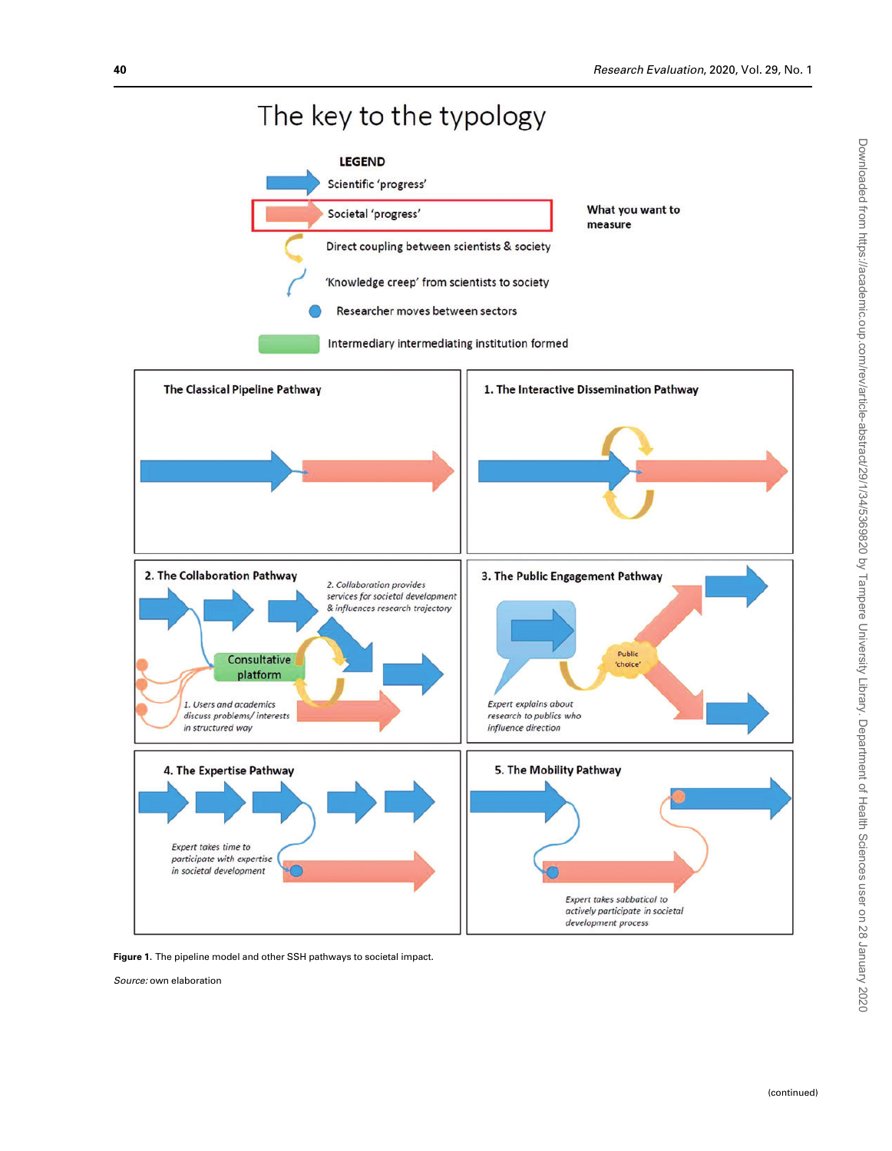<span id="page-6-0"></span>

Figure 1. The pipeline model and other SSH pathways to societal impact.

Source: own elaboration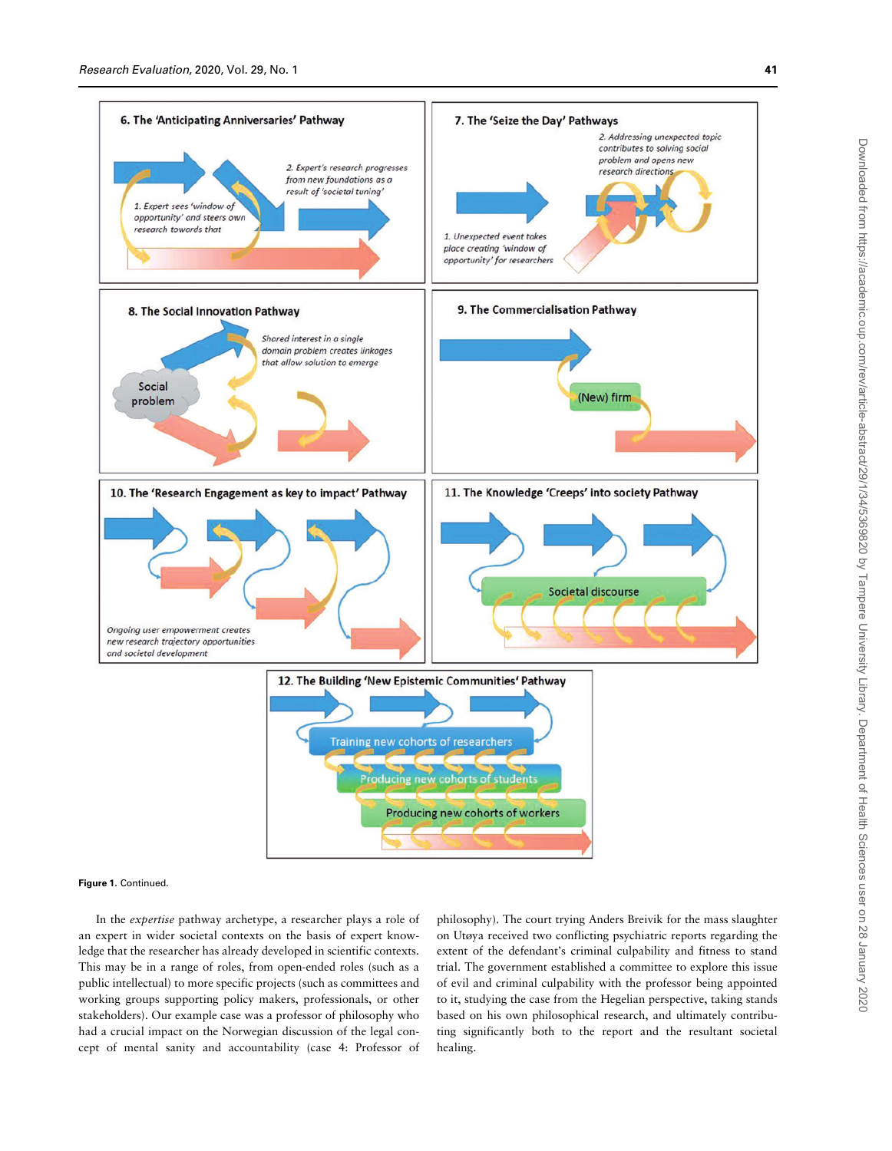

#### Figure 1. Continued.

In the expertise pathway archetype, a researcher plays a role of an expert in wider societal contexts on the basis of expert knowledge that the researcher has already developed in scientific contexts. This may be in a range of roles, from open-ended roles (such as a public intellectual) to more specific projects (such as committees and working groups supporting policy makers, professionals, or other stakeholders). Our example case was a professor of philosophy who had a crucial impact on the Norwegian discussion of the legal concept of mental sanity and accountability (case 4: Professor of philosophy). The court trying Anders Breivik for the mass slaughter on Utøya received two conflicting psychiatric reports regarding the extent of the defendant's criminal culpability and fitness to stand trial. The government established a committee to explore this issue of evil and criminal culpability with the professor being appointed to it, studying the case from the Hegelian perspective, taking stands based on his own philosophical research, and ultimately contributing significantly both to the report and the resultant societal healing.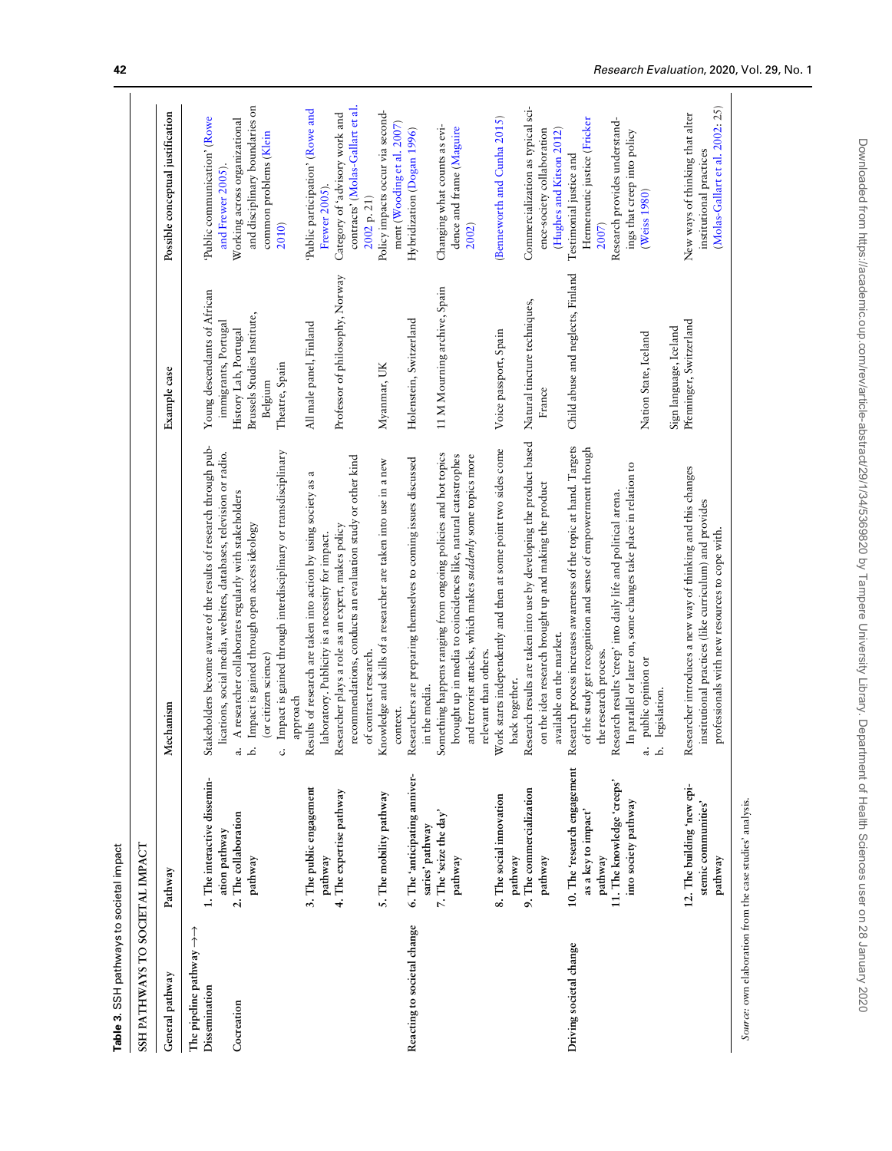Table 3. SSH pathways to societal impact Table 3. SSH pathways to societal impact

<span id="page-8-0"></span>

| pathway<br>Pathway<br>The pipeline pathway $\rightarrow$<br>General pathway<br>Dissemination<br>Cocreation |                               | Mechanism                                                                                                | Example case                      | Possible conceptual justification                          |
|------------------------------------------------------------------------------------------------------------|-------------------------------|----------------------------------------------------------------------------------------------------------|-----------------------------------|------------------------------------------------------------|
|                                                                                                            |                               |                                                                                                          |                                   |                                                            |
|                                                                                                            |                               |                                                                                                          |                                   |                                                            |
|                                                                                                            | 1. The interactive dissemin-  | keholders become aware of the results of research through pub-<br>Sta                                    | Young descendants of African      | Public communication' (Rowe                                |
|                                                                                                            | ation pathway                 | lications, social media, websites, databases, television or radio.                                       | immigrants, Portugal              | and Frewer 2005).                                          |
|                                                                                                            | 2. The collaboration          | A researcher collaborates regularly with stakeholders                                                    | History Lab, Portugal             | Working across organizational                              |
|                                                                                                            |                               | Impact is gained through open access ideology<br>் ப                                                     | Brussels Studies Institute,       | and disciplinary boundaries on                             |
|                                                                                                            |                               | (or citizen science)                                                                                     | Belgium                           | common problems (Klein                                     |
|                                                                                                            |                               | Impact is gained through interdisciplinary or transdisciplinary<br>ن                                     | Theatre, Spain                    | 2010)                                                      |
|                                                                                                            |                               | approach                                                                                                 |                                   |                                                            |
|                                                                                                            | 3. The public engagement      | Results of research are taken into action by using society as a                                          | All male panel, Finland           | Public participation' (Rowe and                            |
|                                                                                                            | pathway                       | laboratory. Publicity is a necessity for impact.                                                         |                                   | Frewer 2005).                                              |
|                                                                                                            | 4. The expertise pathway      | Researcher plays a role as an expert, makes policy                                                       | Professor of philosophy, Norway   | Category of 'advisory work and                             |
|                                                                                                            |                               | recommendations, conducts an evaluation study or other kind                                              |                                   | contracts' (Molas-Gallart et al.                           |
|                                                                                                            |                               | of contract research.                                                                                    |                                   | 2002 p. 21)                                                |
|                                                                                                            | 5. The mobility pathway       | Knowledge and skills of a researcher are taken into use in a new                                         | Myanmar, UK                       | Policy impacts occur via second-                           |
|                                                                                                            |                               | context.                                                                                                 |                                   | ment (Wooding et al. 2007)                                 |
| Reacting to societal change                                                                                | 6. The 'anticipating anniver- | Researchers are preparing themselves to coming issues discussed                                          | Holenstein, Switzerland           | Hybridization (Dogan 1996)                                 |
|                                                                                                            | saries' pathway               | in the media.                                                                                            |                                   |                                                            |
|                                                                                                            | 7. The 'seize the day'        | Something happens ranging from ongoing policies and hot topics                                           | 11 M Mourning archive, Spain      | Changing what counts as evi-                               |
| pathway                                                                                                    |                               | brought up in media to coincidences like, natural catastrophes                                           |                                   | dence and frame (Maguire                                   |
|                                                                                                            |                               | and terrorist attacks, which makes suddenly some topics more                                             |                                   | 2002)                                                      |
|                                                                                                            |                               | relevant than others.                                                                                    |                                   |                                                            |
|                                                                                                            | 8. The social innovation      | Work starts independently and then at some point two sides come                                          | Voice passport, Spain             | (Benneworth and Cunha 2015)                                |
| pathway                                                                                                    |                               | back together.                                                                                           |                                   |                                                            |
|                                                                                                            | 9. The commercialization      | Research results are taken into use by developing the product based                                      | Natural tincture techniques,      | Commercialization as typical sci-                          |
| pathway                                                                                                    |                               | on the idea research brought up and making the product                                                   | France                            | ence-society collaboration                                 |
|                                                                                                            |                               | available on the market.                                                                                 |                                   | (Hughes and Kitson 2012)                                   |
|                                                                                                            |                               |                                                                                                          |                                   |                                                            |
| Driving societal change                                                                                    | 10. The 'research engagement  | Research process increases awareness of the topic at hand. Targets                                       | Child abuse and neglects, Finland | Testimonial justice and                                    |
|                                                                                                            | as a key to impact'           | of the study get recognition and sense of empowerment through                                            |                                   | Hermeneutic justice (Fricker                               |
| pathway                                                                                                    |                               | the research process.                                                                                    |                                   | $2007$ )                                                   |
|                                                                                                            | 11. The knowledge 'creeps'    | Research results 'creep' into daily life and political arena.                                            |                                   | Research provides understand-                              |
|                                                                                                            | into society pathway          | In parallel or later on, some changes take place in relation to                                          |                                   | ings that creep into policy                                |
|                                                                                                            |                               | public opinion or<br>க் ம்                                                                               | Nation State, Iceland             | (Weiss 1980)                                               |
|                                                                                                            |                               | legislation.                                                                                             |                                   |                                                            |
|                                                                                                            |                               |                                                                                                          | Sign language, Iceland            |                                                            |
|                                                                                                            | 12. The building 'new epi-    | Researcher introduces a new way of thinking and this changes                                             | Pfenninger, Switzerland           | New ways of thinking that alter                            |
| pathway                                                                                                    | stemic communities'           | institutional practices (like curriculum) and provides<br>professionals with new resources to cope with. |                                   | (Molas-Gallart et al. 2002: 25)<br>institutional practices |
|                                                                                                            |                               |                                                                                                          |                                   |                                                            |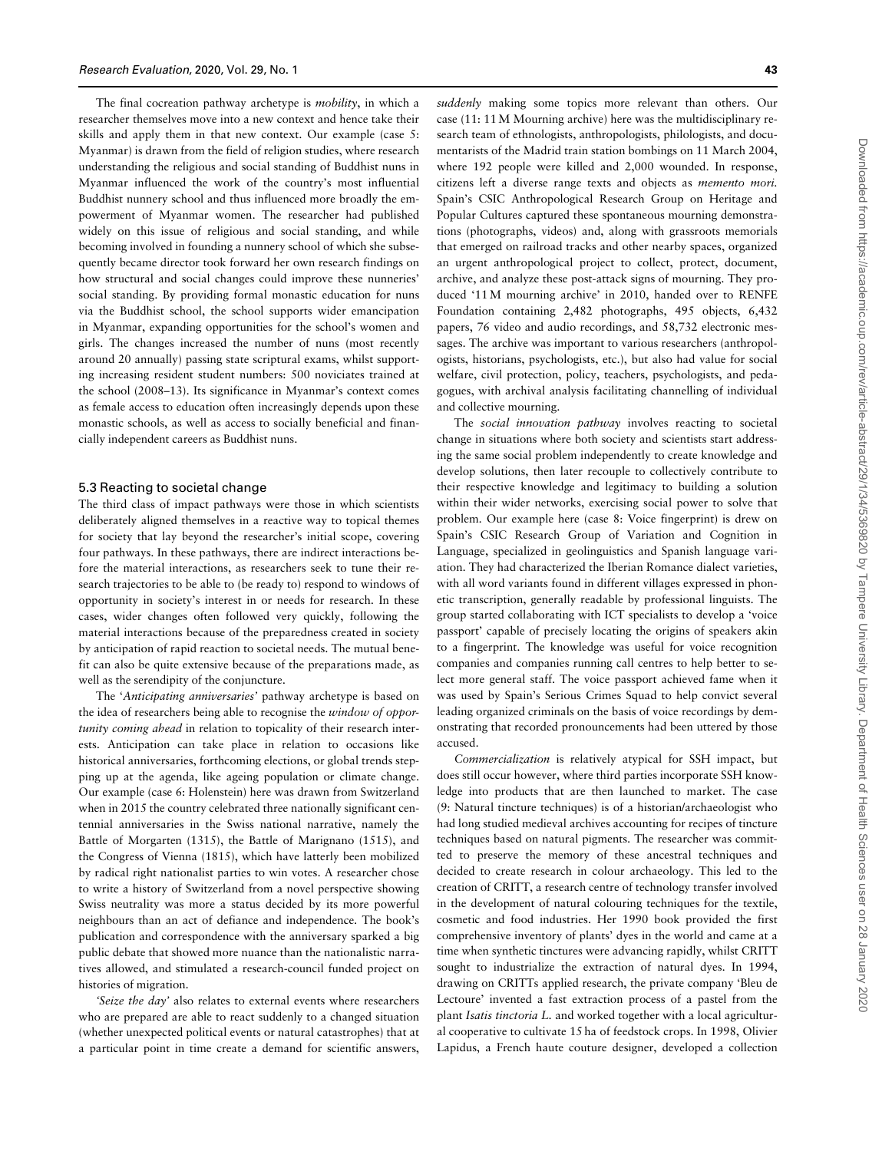The final cocreation pathway archetype is mobility, in which a researcher themselves move into a new context and hence take their skills and apply them in that new context. Our example (case 5: Myanmar) is drawn from the field of religion studies, where research understanding the religious and social standing of Buddhist nuns in Myanmar influenced the work of the country's most influential Buddhist nunnery school and thus influenced more broadly the empowerment of Myanmar women. The researcher had published widely on this issue of religious and social standing, and while becoming involved in founding a nunnery school of which she subsequently became director took forward her own research findings on how structural and social changes could improve these nunneries' social standing. By providing formal monastic education for nuns via the Buddhist school, the school supports wider emancipation in Myanmar, expanding opportunities for the school's women and girls. The changes increased the number of nuns (most recently around 20 annually) passing state scriptural exams, whilst supporting increasing resident student numbers: 500 noviciates trained at the school (2008–13). Its significance in Myanmar's context comes as female access to education often increasingly depends upon these monastic schools, as well as access to socially beneficial and financially independent careers as Buddhist nuns.

#### 5.3 Reacting to societal change

The third class of impact pathways were those in which scientists deliberately aligned themselves in a reactive way to topical themes for society that lay beyond the researcher's initial scope, covering four pathways. In these pathways, there are indirect interactions before the material interactions, as researchers seek to tune their research trajectories to be able to (be ready to) respond to windows of opportunity in society's interest in or needs for research. In these cases, wider changes often followed very quickly, following the material interactions because of the preparedness created in society by anticipation of rapid reaction to societal needs. The mutual benefit can also be quite extensive because of the preparations made, as well as the serendipity of the conjuncture.

The 'Anticipating anniversaries' pathway archetype is based on the idea of researchers being able to recognise the window of opportunity coming ahead in relation to topicality of their research interests. Anticipation can take place in relation to occasions like historical anniversaries, forthcoming elections, or global trends stepping up at the agenda, like ageing population or climate change. Our example (case 6: Holenstein) here was drawn from Switzerland when in 2015 the country celebrated three nationally significant centennial anniversaries in the Swiss national narrative, namely the Battle of Morgarten (1315), the Battle of Marignano (1515), and the Congress of Vienna (1815), which have latterly been mobilized by radical right nationalist parties to win votes. A researcher chose to write a history of Switzerland from a novel perspective showing Swiss neutrality was more a status decided by its more powerful neighbours than an act of defiance and independence. The book's publication and correspondence with the anniversary sparked a big public debate that showed more nuance than the nationalistic narratives allowed, and stimulated a research-council funded project on histories of migration.

'Seize the day' also relates to external events where researchers who are prepared are able to react suddenly to a changed situation (whether unexpected political events or natural catastrophes) that at a particular point in time create a demand for scientific answers,

suddenly making some topics more relevant than others. Our case (11: 11 M Mourning archive) here was the multidisciplinary research team of ethnologists, anthropologists, philologists, and documentarists of the Madrid train station bombings on 11 March 2004, where 192 people were killed and 2,000 wounded. In response, citizens left a diverse range texts and objects as memento mori. Spain's CSIC Anthropological Research Group on Heritage and Popular Cultures captured these spontaneous mourning demonstrations (photographs, videos) and, along with grassroots memorials that emerged on railroad tracks and other nearby spaces, organized an urgent anthropological project to collect, protect, document, archive, and analyze these post-attack signs of mourning. They produced '11 M mourning archive' in 2010, handed over to RENFE Foundation containing 2,482 photographs, 495 objects, 6,432 papers, 76 video and audio recordings, and 58,732 electronic messages. The archive was important to various researchers (anthropologists, historians, psychologists, etc.), but also had value for social welfare, civil protection, policy, teachers, psychologists, and pedagogues, with archival analysis facilitating channelling of individual and collective mourning.

The social innovation pathway involves reacting to societal change in situations where both society and scientists start addressing the same social problem independently to create knowledge and develop solutions, then later recouple to collectively contribute to their respective knowledge and legitimacy to building a solution within their wider networks, exercising social power to solve that problem. Our example here (case 8: Voice fingerprint) is drew on Spain's CSIC Research Group of Variation and Cognition in Language, specialized in geolinguistics and Spanish language variation. They had characterized the Iberian Romance dialect varieties, with all word variants found in different villages expressed in phonetic transcription, generally readable by professional linguists. The group started collaborating with ICT specialists to develop a 'voice passport' capable of precisely locating the origins of speakers akin to a fingerprint. The knowledge was useful for voice recognition companies and companies running call centres to help better to select more general staff. The voice passport achieved fame when it was used by Spain's Serious Crimes Squad to help convict several leading organized criminals on the basis of voice recordings by demonstrating that recorded pronouncements had been uttered by those accused.

Commercialization is relatively atypical for SSH impact, but does still occur however, where third parties incorporate SSH knowledge into products that are then launched to market. The case (9: Natural tincture techniques) is of a historian/archaeologist who had long studied medieval archives accounting for recipes of tincture techniques based on natural pigments. The researcher was committed to preserve the memory of these ancestral techniques and decided to create research in colour archaeology. This led to the creation of CRITT, a research centre of technology transfer involved in the development of natural colouring techniques for the textile, cosmetic and food industries. Her 1990 book provided the first comprehensive inventory of plants' dyes in the world and came at a time when synthetic tinctures were advancing rapidly, whilst CRITT sought to industrialize the extraction of natural dyes. In 1994, drawing on CRITTs applied research, the private company 'Bleu de Lectoure' invented a fast extraction process of a pastel from the plant Isatis tinctoria L. and worked together with a local agricultural cooperative to cultivate 15 ha of feedstock crops. In 1998, Olivier Lapidus, a French haute couture designer, developed a collection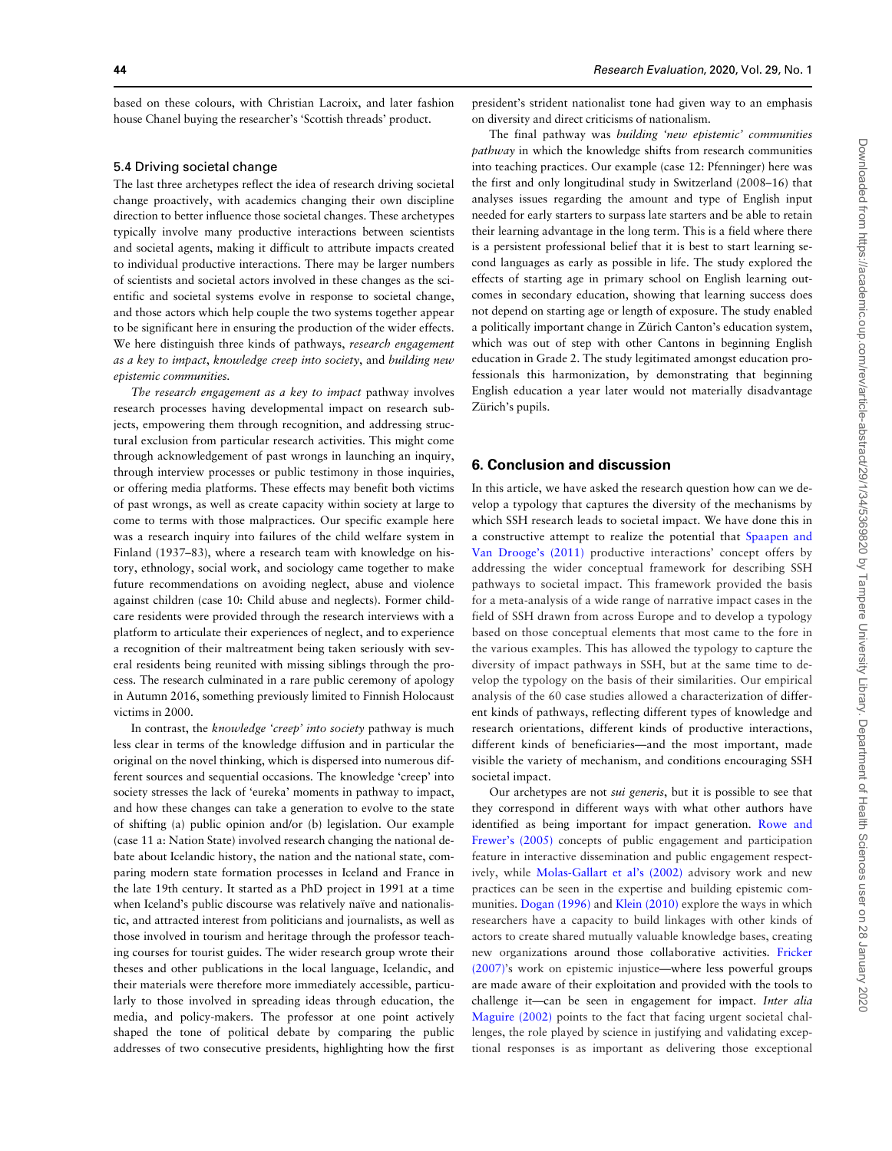based on these colours, with Christian Lacroix, and later fashion house Chanel buying the researcher's 'Scottish threads' product.

#### 5.4 Driving societal change

The last three archetypes reflect the idea of research driving societal change proactively, with academics changing their own discipline direction to better influence those societal changes. These archetypes typically involve many productive interactions between scientists and societal agents, making it difficult to attribute impacts created to individual productive interactions. There may be larger numbers of scientists and societal actors involved in these changes as the scientific and societal systems evolve in response to societal change, and those actors which help couple the two systems together appear to be significant here in ensuring the production of the wider effects. We here distinguish three kinds of pathways, research engagement as a key to impact, knowledge creep into society, and building new epistemic communities.

The research engagement as a key to impact pathway involves research processes having developmental impact on research subjects, empowering them through recognition, and addressing structural exclusion from particular research activities. This might come through acknowledgement of past wrongs in launching an inquiry, through interview processes or public testimony in those inquiries, or offering media platforms. These effects may benefit both victims of past wrongs, as well as create capacity within society at large to come to terms with those malpractices. Our specific example here was a research inquiry into failures of the child welfare system in Finland (1937–83), where a research team with knowledge on history, ethnology, social work, and sociology came together to make future recommendations on avoiding neglect, abuse and violence against children (case 10: Child abuse and neglects). Former childcare residents were provided through the research interviews with a platform to articulate their experiences of neglect, and to experience a recognition of their maltreatment being taken seriously with several residents being reunited with missing siblings through the process. The research culminated in a rare public ceremony of apology in Autumn 2016, something previously limited to Finnish Holocaust victims in 2000.

In contrast, the knowledge 'creep' into society pathway is much less clear in terms of the knowledge diffusion and in particular the original on the novel thinking, which is dispersed into numerous different sources and sequential occasions. The knowledge 'creep' into society stresses the lack of 'eureka' moments in pathway to impact, and how these changes can take a generation to evolve to the state of shifting (a) public opinion and/or (b) legislation. Our example (case 11 a: Nation State) involved research changing the national debate about Icelandic history, the nation and the national state, comparing modern state formation processes in Iceland and France in the late 19th century. It started as a PhD project in 1991 at a time when Iceland's public discourse was relatively naïve and nationalistic, and attracted interest from politicians and journalists, as well as those involved in tourism and heritage through the professor teaching courses for tourist guides. The wider research group wrote their theses and other publications in the local language, Icelandic, and their materials were therefore more immediately accessible, particularly to those involved in spreading ideas through education, the media, and policy-makers. The professor at one point actively shaped the tone of political debate by comparing the public addresses of two consecutive presidents, highlighting how the first

president's strident nationalist tone had given way to an emphasis on diversity and direct criticisms of nationalism.

The final pathway was building 'new epistemic' communities pathway in which the knowledge shifts from research communities into teaching practices. Our example (case 12: Pfenninger) here was the first and only longitudinal study in Switzerland (2008–16) that analyses issues regarding the amount and type of English input needed for early starters to surpass late starters and be able to retain their learning advantage in the long term. This is a field where there is a persistent professional belief that it is best to start learning second languages as early as possible in life. The study explored the effects of starting age in primary school on English learning outcomes in secondary education, showing that learning success does not depend on starting age or length of exposure. The study enabled a politically important change in Zürich Canton's education system, which was out of step with other Cantons in beginning English education in Grade 2. The study legitimated amongst education professionals this harmonization, by demonstrating that beginning English education a year later would not materially disadvantage Zürich's pupils.

# 6. Conclusion and discussion

In this article, we have asked the research question how can we develop a typology that captures the diversity of the mechanisms by which SSH research leads to societal impact. We have done this in a constructive attempt to realize the potential that [Spaapen and](#page-12-0) [Van Drooge's \(2011\)](#page-12-0) productive interactions' concept offers by addressing the wider conceptual framework for describing SSH pathways to societal impact. This framework provided the basis for a meta-analysis of a wide range of narrative impact cases in the field of SSH drawn from across Europe and to develop a typology based on those conceptual elements that most came to the fore in the various examples. This has allowed the typology to capture the diversity of impact pathways in SSH, but at the same time to develop the typology on the basis of their similarities. Our empirical analysis of the 60 case studies allowed a characterization of different kinds of pathways, reflecting different types of knowledge and research orientations, different kinds of productive interactions, different kinds of beneficiaries—and the most important, made visible the variety of mechanism, and conditions encouraging SSH societal impact.

Our archetypes are not sui generis, but it is possible to see that they correspond in different ways with what other authors have identified as being important for impact generation. [Rowe and](#page-12-0) [Frewer's \(2005\)](#page-12-0) concepts of public engagement and participation feature in interactive dissemination and public engagement respectively, while [Molas-Gallart et al's \(2002\)](#page-12-0) advisory work and new practices can be seen in the expertise and building epistemic communities. [Dogan \(1996\)](#page-11-0) and [Klein \(2010\)](#page-12-0) explore the ways in which researchers have a capacity to build linkages with other kinds of actors to create shared mutually valuable knowledge bases, creating new organizations around those collaborative activities. [Fricker](#page-12-0) [\(2007\)'](#page-12-0)s work on epistemic injustice—where less powerful groups are made aware of their exploitation and provided with the tools to challenge it—can be seen in engagement for impact. Inter alia [Maguire \(2002\)](#page-12-0) points to the fact that facing urgent societal challenges, the role played by science in justifying and validating exceptional responses is as important as delivering those exceptional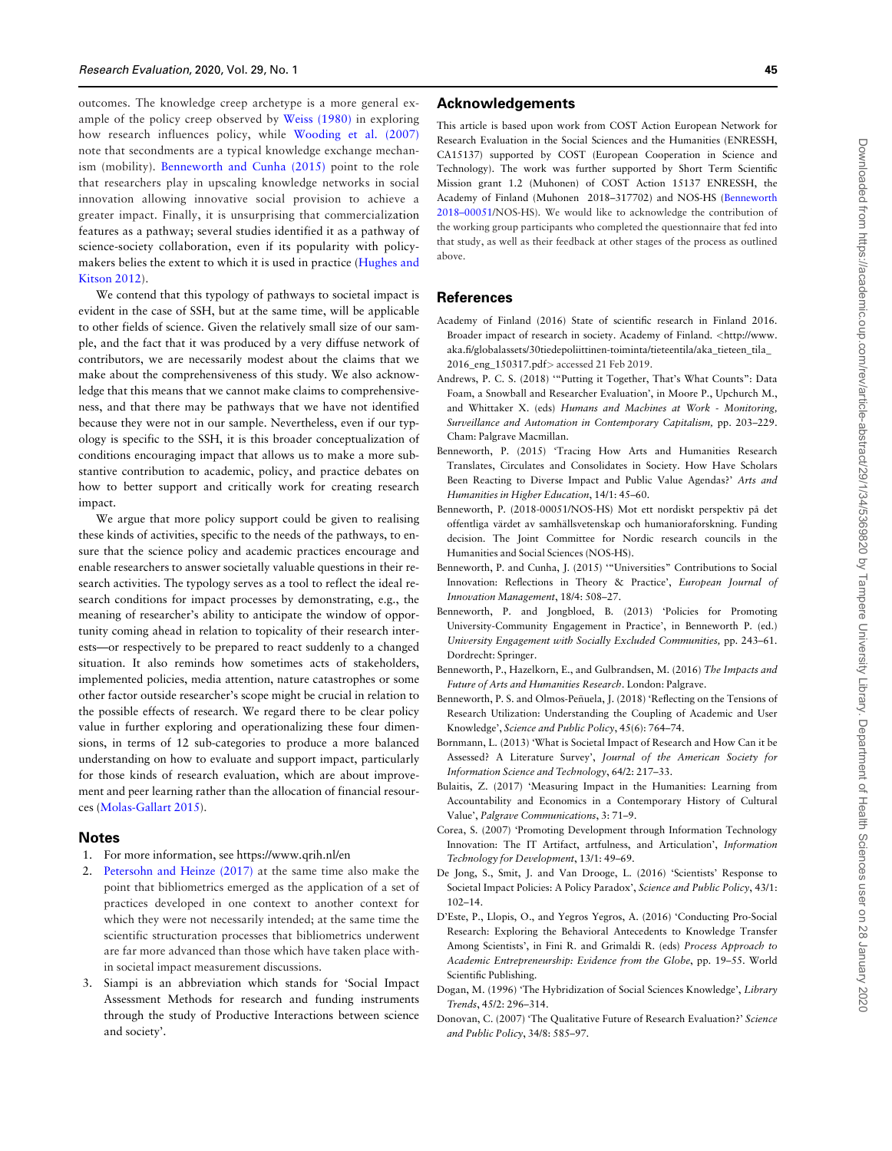<span id="page-11-0"></span>outcomes. The knowledge creep archetype is a more general example of the policy creep observed by [Weiss \(1980\)](#page-12-0) in exploring how research influences policy, while [Wooding et al. \(2007\)](#page-12-0) note that secondments are a typical knowledge exchange mechanism (mobility). Benneworth and Cunha (2015) point to the role that researchers play in upscaling knowledge networks in social innovation allowing innovative social provision to achieve a greater impact. Finally, it is unsurprising that commercialization features as a pathway; several studies identified it as a pathway of science-society collaboration, even if its popularity with policymakers belies the extent to which it is used in practice [\(Hughes and](#page-12-0) [Kitson 2012](#page-12-0)).

We contend that this typology of pathways to societal impact is evident in the case of SSH, but at the same time, will be applicable to other fields of science. Given the relatively small size of our sample, and the fact that it was produced by a very diffuse network of contributors, we are necessarily modest about the claims that we make about the comprehensiveness of this study. We also acknowledge that this means that we cannot make claims to comprehensiveness, and that there may be pathways that we have not identified because they were not in our sample. Nevertheless, even if our typology is specific to the SSH, it is this broader conceptualization of conditions encouraging impact that allows us to make a more substantive contribution to academic, policy, and practice debates on how to better support and critically work for creating research impact.

We argue that more policy support could be given to realising these kinds of activities, specific to the needs of the pathways, to ensure that the science policy and academic practices encourage and enable researchers to answer societally valuable questions in their research activities. The typology serves as a tool to reflect the ideal research conditions for impact processes by demonstrating, e.g., the meaning of researcher's ability to anticipate the window of opportunity coming ahead in relation to topicality of their research interests—or respectively to be prepared to react suddenly to a changed situation. It also reminds how sometimes acts of stakeholders, implemented policies, media attention, nature catastrophes or some other factor outside researcher's scope might be crucial in relation to the possible effects of research. We regard there to be clear policy value in further exploring and operationalizing these four dimensions, in terms of 12 sub-categories to produce a more balanced understanding on how to evaluate and support impact, particularly for those kinds of research evaluation, which are about improvement and peer learning rather than the allocation of financial resources ([Molas-Gallart 2015](#page-12-0)).

# Notes

- 1. For more information, see<https://www.qrih.nl/en>
- 2. [Petersohn and Heinze \(2017\)](#page-12-0) at the same time also make the point that bibliometrics emerged as the application of a set of practices developed in one context to another context for which they were not necessarily intended; at the same time the scientific structuration processes that bibliometrics underwent are far more advanced than those which have taken place within societal impact measurement discussions.
- 3. Siampi is an abbreviation which stands for 'Social Impact Assessment Methods for research and funding instruments through the study of Productive Interactions between science and society'.

# Acknowledgements

This article is based upon work from COST Action European Network for Research Evaluation in the Social Sciences and the Humanities (ENRESSH, CA15137) supported by COST (European Cooperation in Science and Technology). The work was further supported by Short Term Scientific Mission grant 1.2 (Muhonen) of COST Action 15137 ENRESSH, the Academy of Finland (Muhonen 2018–317702) and NOS-HS (Benneworth 2018–00051/NOS-HS). We would like to acknowledge the contribution of the working group participants who completed the questionnaire that fed into that study, as well as their feedback at other stages of the process as outlined above.

#### References

- Academy of Finland (2016) State of scientific research in Finland 2016. Broader impact of research in society. Academy of Finland. <[http://www.](http://www.aka.fi/globalassets/30tiedepoliittinen-toiminta/tieteentila/aka_tieteen_tila_2016_eng_150317.pdf) [aka.fi/globalassets/30tiedepoliittinen-toiminta/tieteentila/aka\\_tieteen\\_tila\\_](http://www.aka.fi/globalassets/30tiedepoliittinen-toiminta/tieteentila/aka_tieteen_tila_2016_eng_150317.pdf) [2016\\_eng\\_150317.pdf](http://www.aka.fi/globalassets/30tiedepoliittinen-toiminta/tieteentila/aka_tieteen_tila_2016_eng_150317.pdf)> accessed 21 Feb 2019.
- Andrews, P. C. S. (2018) '"Putting it Together, That's What Counts": Data Foam, a Snowball and Researcher Evaluation', in Moore P., Upchurch M., and Whittaker X. (eds) Humans and Machines at Work - Monitoring, Surveillance and Automation in Contemporary Capitalism, pp. 203–229. Cham: Palgrave Macmillan.
- Benneworth, P. (2015) 'Tracing How Arts and Humanities Research Translates, Circulates and Consolidates in Society. How Have Scholars Been Reacting to Diverse Impact and Public Value Agendas?' Arts and Humanities in Higher Education, 14/1: 45–60.
- Benneworth, P. (2018-00051/NOS-HS) Mot ett nordiskt perspektiv på det offentliga värdet av samhällsvetenskap och humanioraforskning. Funding decision. The Joint Committee for Nordic research councils in the Humanities and Social Sciences (NOS-HS).
- Benneworth, P. and Cunha, J. (2015) '"Universities" Contributions to Social Innovation: Reflections in Theory & Practice', European Journal of Innovation Management, 18/4: 508–27.
- Benneworth, P. and Jongbloed, B. (2013) 'Policies for Promoting University-Community Engagement in Practice', in Benneworth P. (ed.) University Engagement with Socially Excluded Communities, pp. 243–61. Dordrecht: Springer.
- Benneworth, P., Hazelkorn, E., and Gulbrandsen, M. (2016) The Impacts and Future of Arts and Humanities Research. London: Palgrave.
- Benneworth, P. S. and Olmos-Peñuela, J. (2018) 'Reflecting on the Tensions of Research Utilization: Understanding the Coupling of Academic and User Knowledge', Science and Public Policy, 45(6): 764–74.
- Bornmann, L. (2013) 'What is Societal Impact of Research and How Can it be Assessed? A Literature Survey', Journal of the American Society for Information Science and Technology, 64/2: 217–33.
- Bulaitis, Z. (2017) 'Measuring Impact in the Humanities: Learning from Accountability and Economics in a Contemporary History of Cultural Value', Palgrave Communications, 3: 71–9.
- Corea, S. (2007) 'Promoting Development through Information Technology Innovation: The IT Artifact, artfulness, and Articulation', Information Technology for Development, 13/1: 49–69.
- De Jong, S., Smit, J. and Van Drooge, L. (2016) 'Scientists' Response to Societal Impact Policies: A Policy Paradox', Science and Public Policy, 43/1: 102–14.
- D'Este, P., Llopis, O., and Yegros Yegros, A. (2016) 'Conducting Pro-Social Research: Exploring the Behavioral Antecedents to Knowledge Transfer Among Scientists', in Fini R. and Grimaldi R. (eds) Process Approach to Academic Entrepreneurship: Evidence from the Globe, pp. 19–55. World Scientific Publishing.
- Dogan, M. (1996) 'The Hybridization of Social Sciences Knowledge', Library Trends, 45/2: 296–314.
- Donovan, C. (2007) 'The Qualitative Future of Research Evaluation?' Science and Public Policy, 34/8: 585–97.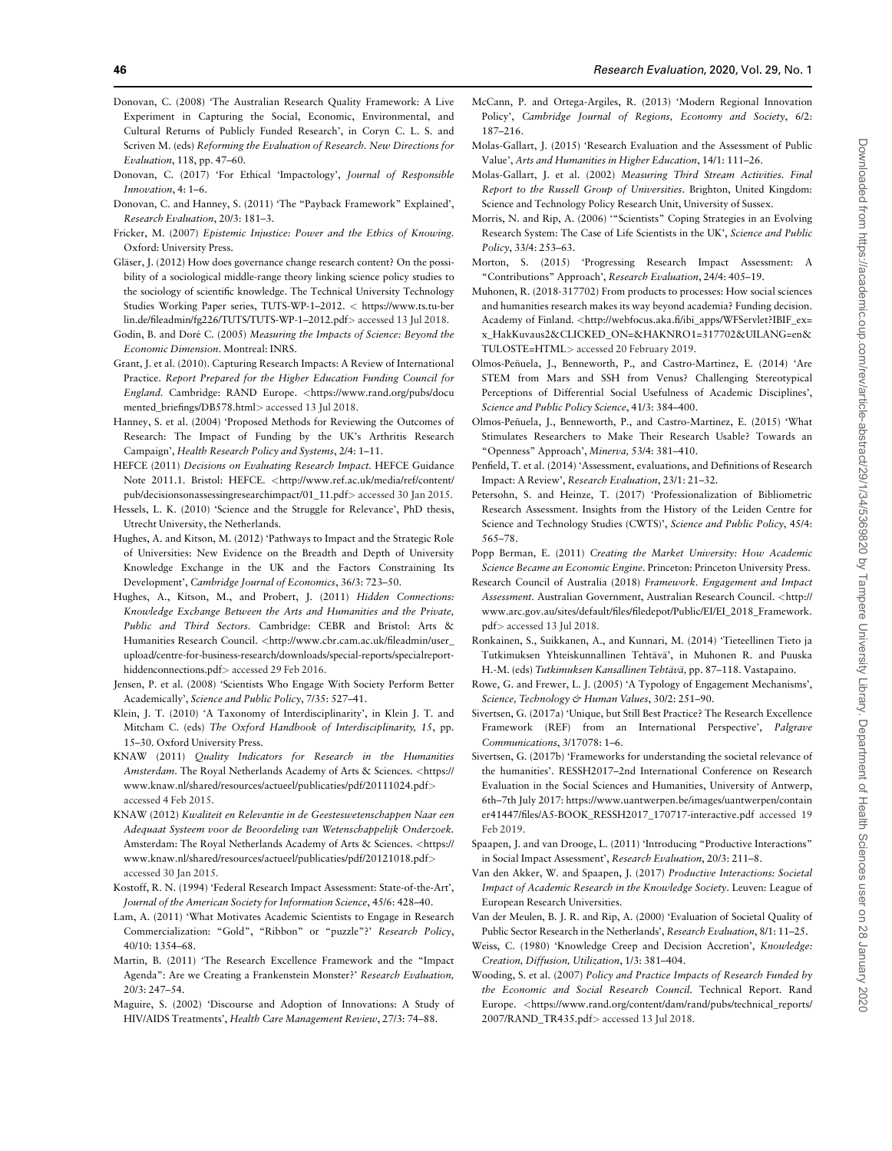- <span id="page-12-0"></span>Donovan, C. (2008) 'The Australian Research Quality Framework: A Live Experiment in Capturing the Social, Economic, Environmental, and Cultural Returns of Publicly Funded Research', in Coryn C. L. S. and Scriven M. (eds) Reforming the Evaluation of Research. New Directions for Evaluation, 118, pp. 47–60.
- Donovan, C. (2017) 'For Ethical 'Impactology', Journal of Responsible Innovation, 4: 1–6.
- Donovan, C. and Hanney, S. (2011) 'The "Payback Framework" Explained', Research Evaluation, 20/3: 181–3.
- Fricker, M. (2007) Epistemic Injustice: Power and the Ethics of Knowing. Oxford: University Press.
- Gläser, J. (2012) How does governance change research content? On the possibility of a sociological middle-range theory linking science policy studies to the sociology of scientific knowledge. The Technical University Technology Studies Working Paper series, TUTS-WP-1–2012. < [https://www.ts.tu-ber](https://www.ts.tu-berlin.de/fileadmin/fg226/TUTS/TUTS-WP-1–2012.pdf) [lin.de/fileadmin/fg226/TUTS/TUTS-WP-1–2012.pdf](https://www.ts.tu-berlin.de/fileadmin/fg226/TUTS/TUTS-WP-1–2012.pdf)> accessed 13 Jul 2018.
- Godin, B. and Doré C. (2005) Measuring the Impacts of Science: Beyond the Economic Dimension. Montreal: INRS.
- Grant, J. et al. (2010). Capturing Research Impacts: A Review of International Practice. Report Prepared for the Higher Education Funding Council for England. Cambridge: RAND Europe. <[https://www.rand.org/pubs/docu](https://www.rand.org/pubs/documented_briefings/DB578.html) [mented\\_briefings/DB578.html](https://www.rand.org/pubs/documented_briefings/DB578.html)> accessed 13 Jul 2018.
- Hanney, S. et al. (2004) 'Proposed Methods for Reviewing the Outcomes of Research: The Impact of Funding by the UK's Arthritis Research Campaign', Health Research Policy and Systems, 2/4: 1–11.
- HEFCE (2011) Decisions on Evaluating Research Impact. HEFCE Guidance Note 2011.1. Bristol: HEFCE. <[http://www.ref.ac.uk/media/ref/content/](http://www.ref.ac.uk/media/ref/content/pub/decisionsonassessingresearchimpact/01_11.pdf) [pub/decisionsonassessingresearchimpact/01\\_11.pdf](http://www.ref.ac.uk/media/ref/content/pub/decisionsonassessingresearchimpact/01_11.pdf)> accessed 30 Jan 2015.
- Hessels, L. K. (2010) 'Science and the Struggle for Relevance', PhD thesis, Utrecht University, the Netherlands.
- Hughes, A. and Kitson, M. (2012) 'Pathways to Impact and the Strategic Role of Universities: New Evidence on the Breadth and Depth of University Knowledge Exchange in the UK and the Factors Constraining Its Development', Cambridge Journal of Economics, 36/3: 723–50.
- Hughes, A., Kitson, M., and Probert, J. (2011) Hidden Connections: Knowledge Exchange Between the Arts and Humanities and the Private, Public and Third Sectors. Cambridge: CEBR and Bristol: Arts & Humanities Research Council. <[http://www.cbr.cam.ac.uk/fileadmin/user\\_](http://www.cbr.cam.ac.uk/fileadmin/user_upload/centre-for-business-research/downloads/special-reports/specialreport-hiddenconnections.pdf) [upload/centre-for-business-research/downloads/special-reports/specialreport](http://www.cbr.cam.ac.uk/fileadmin/user_upload/centre-for-business-research/downloads/special-reports/specialreport-hiddenconnections.pdf)[hiddenconnections.pdf](http://www.cbr.cam.ac.uk/fileadmin/user_upload/centre-for-business-research/downloads/special-reports/specialreport-hiddenconnections.pdf)> accessed 29 Feb 2016.
- Jensen, P. et al. (2008) 'Scientists Who Engage With Society Perform Better Academically', Science and Public Policy, 7/35: 527–41.
- Klein, J. T. (2010) 'A Taxonomy of Interdisciplinarity', in Klein J. T. and Mitcham C. (eds) The Oxford Handbook of Interdisciplinarity, 15, pp. 15–30. Oxford University Press.
- KNAW (2011) Quality Indicators for Research in the Humanities Amsterdam. The Royal Netherlands Academy of Arts & Sciences. <[https://](https://www.knaw.nl/shared/resources/actueel/publicaties/pdf/20111024.pdf) [www.knaw.nl/shared/resources/actueel/publicaties/pdf/20111024.pdf](https://www.knaw.nl/shared/resources/actueel/publicaties/pdf/20111024.pdf)> accessed 4 Feb 2015.
- KNAW (2012) Kwaliteit en Relevantie in de Geesteswetenschappen Naar een Adequaat Systeem voor de Beoordeling van Wetenschappelijk Onderzoek. Amsterdam: The Royal Netherlands Academy of Arts & Sciences. <[https://](https://www.knaw.nl/shared/resources/actueel/publicaties/pdf/20121018.pdf) [www.knaw.nl/shared/resources/actueel/publicaties/pdf/20121018.pdf](https://www.knaw.nl/shared/resources/actueel/publicaties/pdf/20121018.pdf)> accessed 30 Jan 2015.
- Kostoff, R. N. (1994) 'Federal Research Impact Assessment: State-of-the-Art', Journal of the American Society for Information Science, 45/6: 428–40.
- Lam, A. (2011) 'What Motivates Academic Scientists to Engage in Research Commercialization: "Gold", "Ribbon" or "puzzle"?' Research Policy, 40/10: 1354–68.
- Martin, B. (2011) 'The Research Excellence Framework and the "Impact Agenda": Are we Creating a Frankenstein Monster?' Research Evaluation, 20/3: 247–54.
- Maguire, S. (2002) 'Discourse and Adoption of Innovations: A Study of HIV/AIDS Treatments', Health Care Management Review, 27/3: 74–88.
- McCann, P. and Ortega-Argiles, R. (2013) 'Modern Regional Innovation Policy', Cambridge Journal of Regions, Economy and Society, 6/2: 187–216.
- Molas-Gallart, J. (2015) 'Research Evaluation and the Assessment of Public Value', Arts and Humanities in Higher Education, 14/1: 111–26.
- Molas-Gallart, J. et al. (2002) Measuring Third Stream Activities. Final Report to the Russell Group of Universities. Brighton, United Kingdom: Science and Technology Policy Research Unit, University of Sussex.
- Morris, N. and Rip, A. (2006) '"Scientists" Coping Strategies in an Evolving Research System: The Case of Life Scientists in the UK', Science and Public Policy, 33/4: 253–63.
- Morton, S. (2015) 'Progressing Research Impact Assessment: A "Contributions" Approach', Research Evaluation, 24/4: 405–19.
- Muhonen, R. (2018-317702) From products to processes: How social sciences and humanities research makes its way beyond academia? Funding decision. Academy of Finland. <[http://webfocus.aka.fi/ibi\\_apps/WFServlet?IBIF\\_ex=](http://webfocus.aka.fi/ibi_apps/WFServlet?IBIF_ex=x_HakKuvaus2&CLICKED_ON=&HAKNRO1=317702&UILANG=en&TULOSTE=HTML) [x\\_HakKuvaus2&CLICKED\\_ON=](http://webfocus.aka.fi/ibi_apps/WFServlet?IBIF_ex=x_HakKuvaus2&CLICKED_ON=&HAKNRO1=317702&UILANG=en&TULOSTE=HTML)&[HAKNRO1=317702&UILANG=en](http://webfocus.aka.fi/ibi_apps/WFServlet?IBIF_ex=x_HakKuvaus2&CLICKED_ON=&HAKNRO1=317702&UILANG=en&TULOSTE=HTML)& [TULOSTE=HTML](http://webfocus.aka.fi/ibi_apps/WFServlet?IBIF_ex=x_HakKuvaus2&CLICKED_ON=&HAKNRO1=317702&UILANG=en&TULOSTE=HTML)> accessed 20 February 2019.
- Olmos-Penuela, J., Benneworth, P., and Castro-Martinez, E. (2014) 'Are ~ STEM from Mars and SSH from Venus? Challenging Stereotypical Perceptions of Differential Social Usefulness of Academic Disciplines', Science and Public Policy Science, 41/3: 384–400.
- Olmos-Penuela, J., Benneworth, P., and Castro-Martinez, E. (2015) 'What ~ Stimulates Researchers to Make Their Research Usable? Towards an "Openness" Approach', Minerva, 53/4: 381–410.
- Penfield, T. et al. (2014) 'Assessment, evaluations, and Definitions of Research Impact: A Review', Research Evaluation, 23/1: 21–32.
- Petersohn, S. and Heinze, T. (2017) 'Professionalization of Bibliometric Research Assessment. Insights from the History of the Leiden Centre for Science and Technology Studies (CWTS)', Science and Public Policy, 45/4: 565–78.
- Popp Berman, E. (2011) Creating the Market University: How Academic Science Became an Economic Engine. Princeton: Princeton University Press.
- Research Council of Australia (2018) Framework. Engagement and Impact Assessment. Australian Government, Australian Research Council. <[http://](http://www.arc.gov.au/sites/default/files/filedepot/Public/EI/EI_2018_Framework.pdf) [www.arc.gov.au/sites/default/files/filedepot/Public/EI/EI\\_2018\\_Framework.](http://www.arc.gov.au/sites/default/files/filedepot/Public/EI/EI_2018_Framework.pdf) [pdf](http://www.arc.gov.au/sites/default/files/filedepot/Public/EI/EI_2018_Framework.pdf)> accessed 13 Jul 2018.
- Ronkainen, S., Suikkanen, A., and Kunnari, M. (2014) 'Tieteellinen Tieto ja Tutkimuksen Yhteiskunnallinen Tehtävä', in Muhonen R. and Puuska H.-M. (eds) Tutkimuksen Kansallinen Tehtävä, pp. 87-118. Vastapaino.
- Rowe, G. and Frewer, L. J. (2005) 'A Typology of Engagement Mechanisms', Science, Technology & Human Values, 30/2: 251-90.
- Sivertsen, G. (2017a) 'Unique, but Still Best Practice? The Research Excellence Framework (REF) from an International Perspective', Palgrave Communications, 3/17078: 1–6.
- Sivertsen, G. (2017b) 'Frameworks for understanding the societal relevance of the humanities'. RESSH2017–2nd International Conference on Research Evaluation in the Social Sciences and Humanities, University of Antwerp, 6th–7th July 2017: [https://www.uantwerpen.be/images/uantwerpen/contain](https://www.uantwerpen.be/images/uantwerpen/container41447/files/A5-BOOK_RESSH2017_170717-interactive.pdf) [er41447/files/A5-BOOK\\_RESSH2017\\_170717-interactive.pdf](https://www.uantwerpen.be/images/uantwerpen/container41447/files/A5-BOOK_RESSH2017_170717-interactive.pdf) accessed 19 Feb 2019.
- Spaapen, J. and van Drooge, L. (2011) 'Introducing "Productive Interactions" in Social Impact Assessment', Research Evaluation, 20/3: 211–8.
- Van den Akker, W. and Spaapen, J. (2017) Productive Interactions: Societal Impact of Academic Research in the Knowledge Society. Leuven: League of European Research Universities.
- Van der Meulen, B. J. R. and Rip, A. (2000) 'Evaluation of Societal Quality of Public Sector Research in the Netherlands', Research Evaluation, 8/1: 11–25.
- Weiss, C. (1980) 'Knowledge Creep and Decision Accretion', Knowledge: Creation, Diffusion, Utilization, 1/3: 381–404.
- Wooding, S. et al. (2007) Policy and Practice Impacts of Research Funded by the Economic and Social Research Council. Technical Report. Rand Europe. <[https://www.rand.org/content/dam/rand/pubs/technical\\_reports/](https://www.rand.org/content/dam/rand/pubs/technical_reports/2007/RAND_TR435.pdf) [2007/RAND\\_TR435.pdf](https://www.rand.org/content/dam/rand/pubs/technical_reports/2007/RAND_TR435.pdf)> accessed 13 Jul 2018.